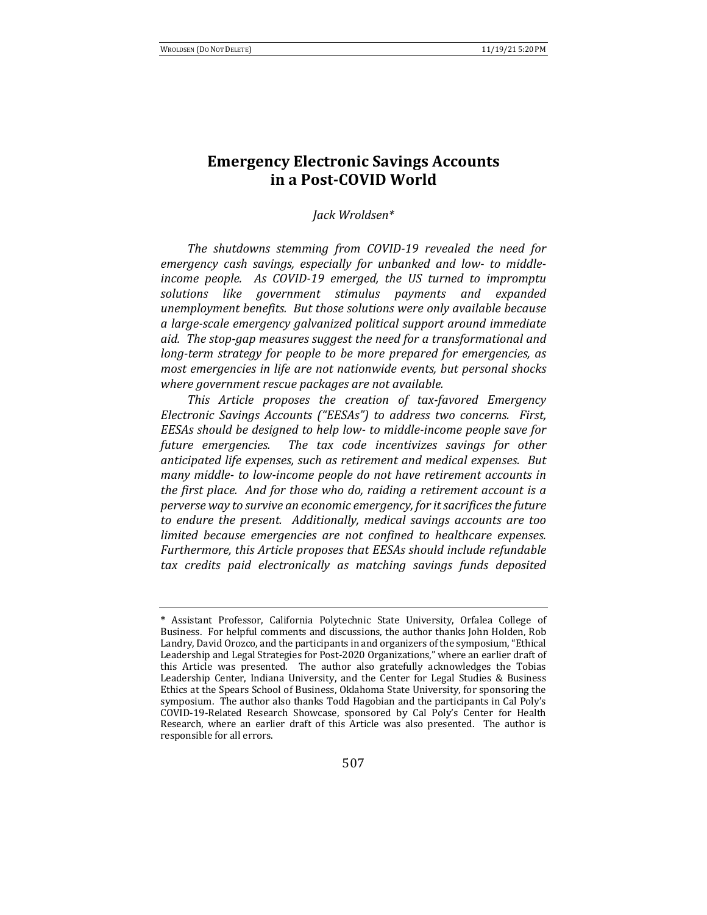# **Emergency Electronic Savings Accounts in a Post-COVID World**

#### *Jack Wroldsen\**

The shutdowns stemming from COVID-19 revealed the need for emergency cash savings, especially for unbanked and low- to middle*income people. As COVID-19 emerged, the US turned to impromptu* solutions like government stimulus payments and expanded *unemployment benefits. But those solutions were only available because a large-scale emergency galvanized political support around immediate*  aid. The stop-gap measures suggest the need for a transformational and *long-term strategy for people to be more prepared for emergencies, as most emergencies in life are not nationwide events, but personal shocks where government rescue packages are not available.* 

This Article proposes the creation of tax-favored Emergency *Electronic Savings Accounts* ("EESAs") to address two concerns. First, *EESAs* should be designed to help low- to middle-income people save for future emergencies. The tax code incentivizes savings for other *anticipated life expenses, such as retirement and medical expenses. But many* middle- to low-income people do not have retirement accounts in *the first place. And for those who do, raiding a retirement account is a perverse* way to survive an economic emergency, for it sacrifices the future to endure the present. Additionally, medical savings accounts are too *limited because emergencies are not confined to healthcare expenses.* Furthermore, this Article proposes that *EESAs* should include refundable tax credits paid electronically as matching savings funds deposited

<sup>\*</sup> Assistant Professor, California Polytechnic State University, Orfalea College of Business. For helpful comments and discussions, the author thanks John Holden, Rob Landry, David Orozco, and the participants in and organizers of the symposium, "Ethical Leadership and Legal Strategies for Post-2020 Organizations," where an earlier draft of this Article was presented. The author also gratefully acknowledges the Tobias Leadership Center, Indiana University, and the Center for Legal Studies & Business Ethics at the Spears School of Business, Oklahoma State University, for sponsoring the symposium. The author also thanks Todd Hagobian and the participants in Cal Poly's COVID-19-Related Research Showcase, sponsored by Cal Poly's Center for Health Research, where an earlier draft of this Article was also presented. The author is responsible for all errors.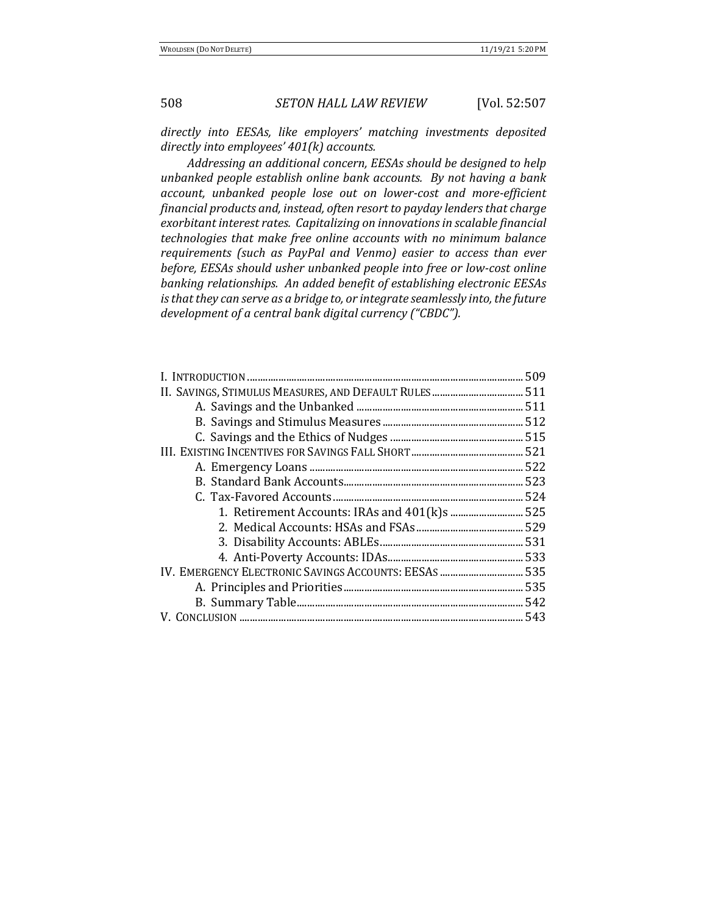directly into EESAs, like employers' matching investments deposited directly into employees'  $401(k)$  accounts.

Addressing an additional concern, EESAs should be designed to help *unbanked people establish online bank accounts. By not having a bank* account, unbanked people lose out on lower-cost and more-efficient *financial products and, instead, often resort to payday lenders that charge exorbitant interest rates. Capitalizing on innovations in scalable financial technologies that make free online accounts with no minimum balance* requirements (such as PayPal and Venmo) easier to access than ever *before, EESAs should usher unbanked people into free or low-cost online* banking relationships. An added benefit of establishing electronic *EESAs is* that they can serve as a bridge to, or integrate seamlessly into, the future *development of a central bank digital currency ("CBDC").* 

| 1. Retirement Accounts: IRAs and 401(k)s  525         |
|-------------------------------------------------------|
|                                                       |
|                                                       |
|                                                       |
| IV. EMERGENCY ELECTRONIC SAVINGS ACCOUNTS: EESAS  535 |
|                                                       |
|                                                       |
|                                                       |
|                                                       |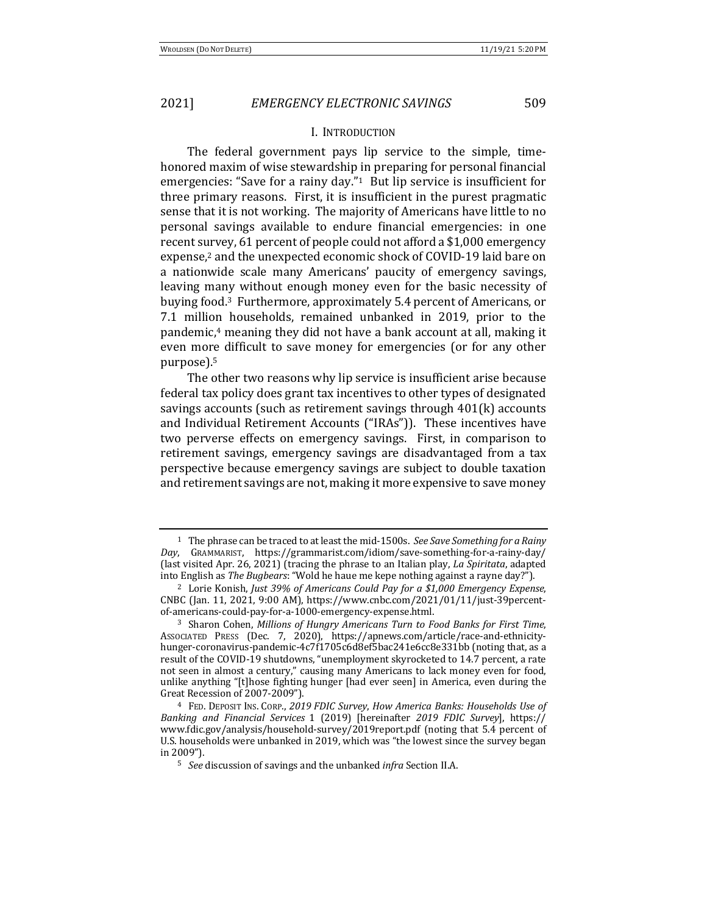#### I. INTRODUCTION

The federal government pays lip service to the simple, timehonored maxim of wise stewardship in preparing for personal financial emergencies: "Save for a rainy day."<sup>1</sup> But lip service is insufficient for three primary reasons. First, it is insufficient in the purest pragmatic sense that it is not working. The majority of Americans have little to no personal savings available to endure financial emergencies: in one recent survey, 61 percent of people could not afford a \$1,000 emergency expense,<sup>2</sup> and the unexpected economic shock of COVID-19 laid bare on a nationwide scale many Americans' paucity of emergency savings, leaving many without enough money even for the basic necessity of buying food.<sup>3</sup> Furthermore, approximately 5.4 percent of Americans, or 7.1 million households, remained unbanked in 2019, prior to the pandemic, $4$  meaning they did not have a bank account at all, making it even more difficult to save money for emergencies (or for any other purpose).5

The other two reasons why lip service is insufficient arise because federal tax policy does grant tax incentives to other types of designated savings accounts (such as retirement savings through  $401(k)$  accounts and Individual Retirement Accounts ("IRAs")). These incentives have two perverse effects on emergency savings. First, in comparison to retirement savings, emergency savings are disadvantaged from a tax perspective because emergency savings are subject to double taxation and retirement savings are not, making it more expensive to save money

<sup>&</sup>lt;sup>1</sup> The phrase can be traced to at least the mid-1500s. See Save Something for a Rainy *Day*, GRAMMARIST, https://grammarist.com/idiom/save-something-for-a-rainy-day/ (last visited Apr. 26, 2021) (tracing the phrase to an Italian play, *La Spiritata*, adapted into English as *The Bugbears*: "Wold he haue me kepe nothing against a rayne day?").

<sup>&</sup>lt;sup>2</sup> Lorie Konish, *Just 39% of Americans Could Pay for a \$1,000 Emergency Expense*, CNBC (Jan. 11, 2021, 9:00 AM), https://www.cnbc.com/2021/01/11/just-39percentof-americans-could-pay-for-a-1000-emergency-expense.html.

<sup>&</sup>lt;sup>3</sup> Sharon Cohen, *Millions of Hungry Americans Turn to Food Banks for First Time*, ASSOCIATED PRESS (Dec. 7, 2020), https://apnews.com/article/race-and-ethnicityhunger-coronavirus-pandemic-4c7f1705c6d8ef5bac241e6cc8e331bb (noting that, as a result of the COVID-19 shutdowns, "unemployment skyrocketed to 14.7 percent, a rate not seen in almost a century," causing many Americans to lack money even for food, unlike anything "[t]hose fighting hunger [had ever seen] in America, even during the Great Recession of 2007-2009").

<sup>&</sup>lt;sup>4</sup> FED. DEPOSIT INS. CORP., 2019 FDIC Survey, How America Banks: Households Use of *Banking and Financial Services* 1 (2019) [hereinafter *2019 FDIC Survey*], https:// www.fdic.gov/analysis/household-survey/2019report.pdf (noting that 5.4 percent of U.S. households were unbanked in 2019, which was "the lowest since the survey began in 2009").

<sup>&</sup>lt;sup>5</sup> *See* discussion of savings and the unbanked *infra* Section II.A.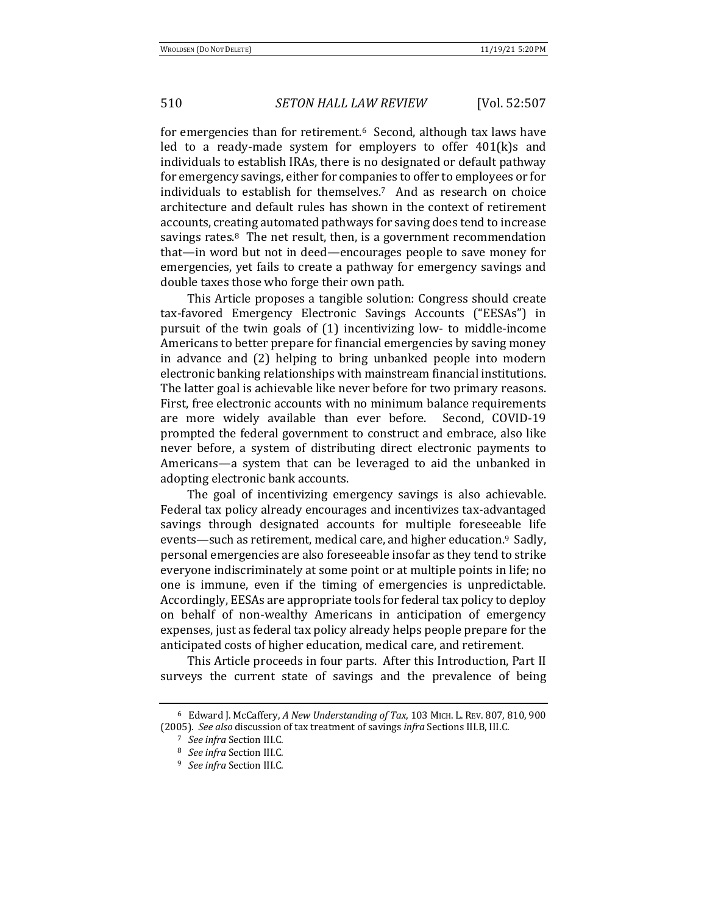for emergencies than for retirement.<sup>6</sup> Second, although tax laws have led to a ready-made system for employers to offer  $401(k)s$  and individuals to establish IRAs, there is no designated or default pathway for emergency savings, either for companies to offer to employees or for individuals to establish for themselves.<sup>7</sup> And as research on choice architecture and default rules has shown in the context of retirement accounts, creating automated pathways for saving does tend to increase savings rates. $8$  The net result, then, is a government recommendation that—in word but not in deed—encourages people to save money for emergencies, yet fails to create a pathway for emergency savings and double taxes those who forge their own path.

This Article proposes a tangible solution: Congress should create tax-favored Emergency Electronic Savings Accounts ("EESAs") in pursuit of the twin goals of (1) incentivizing low- to middle-income Americans to better prepare for financial emergencies by saving money in advance and (2) helping to bring unbanked people into modern electronic banking relationships with mainstream financial institutions. The latter goal is achievable like never before for two primary reasons. First, free electronic accounts with no minimum balance requirements are more widely available than ever before. Second, COVID-19 prompted the federal government to construct and embrace, also like never before, a system of distributing direct electronic payments to Americans—a system that can be leveraged to aid the unbanked in adopting electronic bank accounts.

The goal of incentivizing emergency savings is also achievable. Federal tax policy already encourages and incentivizes tax-advantaged savings through designated accounts for multiple foreseeable life events—such as retirement, medical care, and higher education.<sup>9</sup> Sadly, personal emergencies are also foreseeable insofar as they tend to strike everyone indiscriminately at some point or at multiple points in life; no one is immune, even if the timing of emergencies is unpredictable. Accordingly, EESAs are appropriate tools for federal tax policy to deploy on behalf of non-wealthy Americans in anticipation of emergency expenses, just as federal tax policy already helps people prepare for the anticipated costs of higher education, medical care, and retirement.

This Article proceeds in four parts. After this Introduction, Part II surveys the current state of savings and the prevalence of being

<sup>&</sup>lt;sup>6</sup> Edward J. McCaffery, A New Understanding of Tax, 103 MICH. L. REV. 807, 810, 900 (2005). See also discussion of tax treatment of savings *infra* Sections III.B, III.C.

<sup>7</sup> *See infra* Section III.C.

<sup>&</sup>lt;sup>8</sup> *See infra* Section III.C.

<sup>&</sup>lt;sup>9</sup> *See infra* Section III.C.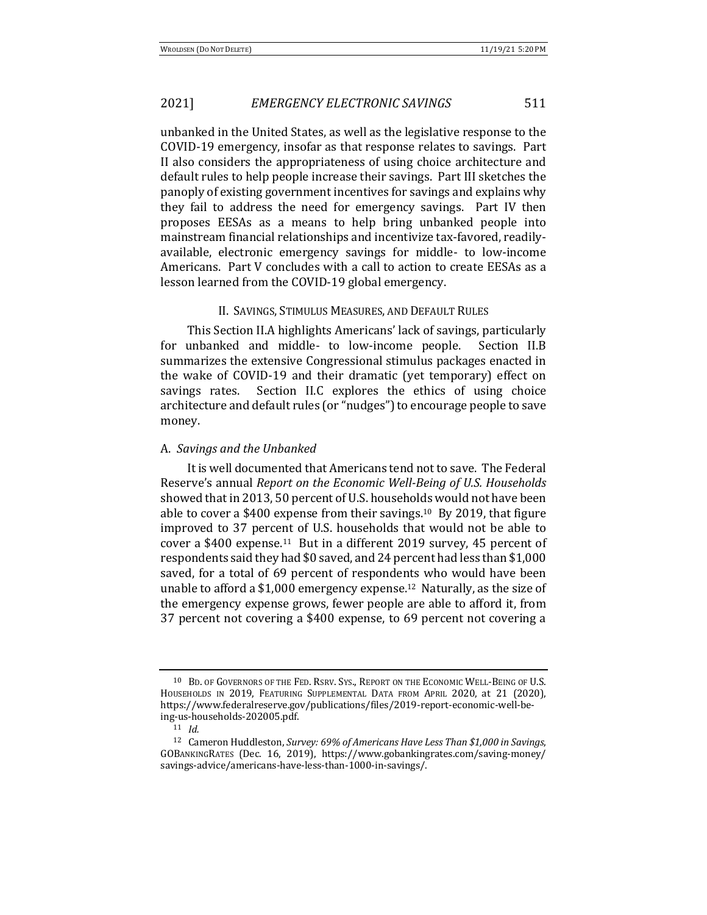unbanked in the United States, as well as the legislative response to the COVID-19 emergency, insofar as that response relates to savings. Part II also considers the appropriateness of using choice architecture and default rules to help people increase their savings. Part III sketches the panoply of existing government incentives for savings and explains why they fail to address the need for emergency savings. Part IV then proposes EESAs as a means to help bring unbanked people into mainstream financial relationships and incentivize tax-favored, readilyavailable, electronic emergency savings for middle- to low-income Americans. Part V concludes with a call to action to create EESAs as a lesson learned from the COVID-19 global emergency.

#### II. SAVINGS, STIMULUS MEASURES, AND DEFAULT RULES

This Section II.A highlights Americans' lack of savings, particularly for unbanked and middle- to low-income people. Section II.B summarizes the extensive Congressional stimulus packages enacted in the wake of COVID-19 and their dramatic (yet temporary) effect on savings rates. Section II.C explores the ethics of using choice architecture and default rules (or "nudges") to encourage people to save money.

#### A. *Savings and the Unbanked*

It is well documented that Americans tend not to save. The Federal Reserve's annual *Report on the Economic Well-Being of U.S. Households* showed that in 2013, 50 percent of U.S. households would not have been able to cover a \$400 expense from their savings.<sup>10</sup> By 2019, that figure improved to 37 percent of U.S. households that would not be able to cover a \$400 expense.<sup>11</sup> But in a different 2019 survey, 45 percent of respondents said they had \$0 saved, and 24 percent had less than \$1,000 saved, for a total of 69 percent of respondents who would have been unable to afford a \$1,000 emergency expense.<sup>12</sup> Naturally, as the size of the emergency expense grows, fewer people are able to afford it, from 37 percent not covering a \$400 expense, to 69 percent not covering a

<sup>10</sup> BD. OF GOVERNORS OF THE FED. RSRV. SYS., REPORT ON THE ECONOMIC WELL-BEING OF U.S. HOUSEHOLDS IN 2019, FEATURING SUPPLEMENTAL DATA FROM APRIL 2020, at 21 (2020), https://www.federalreserve.gov/publications/files/2019-report-economic-well-being-us-households-202005.pdf.

<sup>11</sup> *Id.*

<sup>&</sup>lt;sup>12</sup> Cameron Huddleston, *Survey:* 69% of Americans Have Less Than \$1,000 in Savings, GOBANKINGRATES (Dec. 16, 2019), https://www.gobankingrates.com/saving-money/ savings-advice/americans-have-less-than-1000-in-savings/.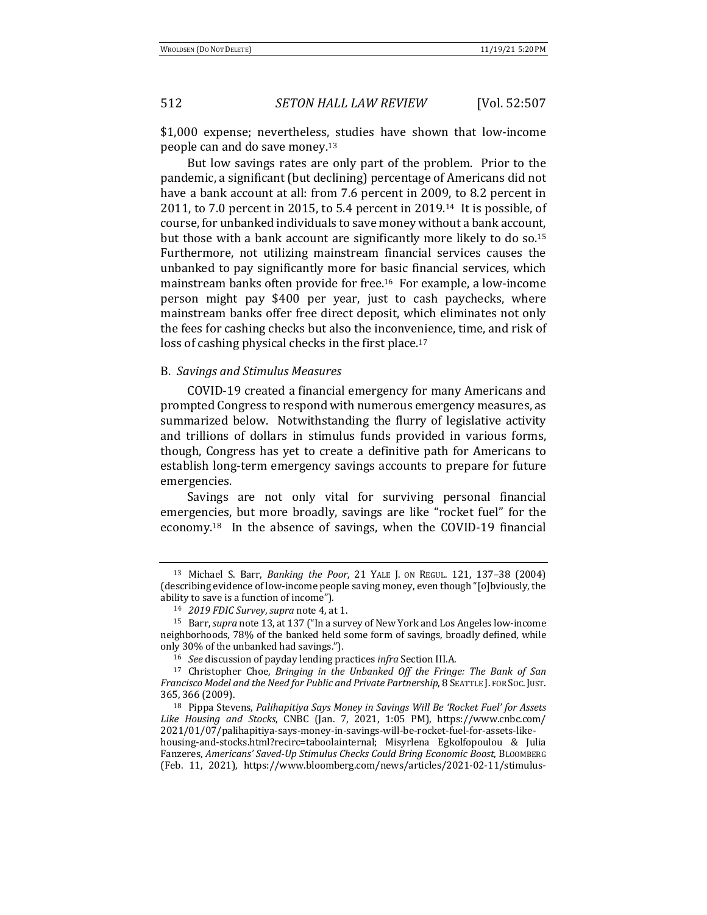\$1,000 expense; nevertheless, studies have shown that low-income people can and do save money.<sup>13</sup>

But low savings rates are only part of the problem. Prior to the pandemic, a significant (but declining) percentage of Americans did not have a bank account at all: from 7.6 percent in 2009, to 8.2 percent in 2011, to 7.0 percent in 2015, to 5.4 percent in 2019.<sup>14</sup> It is possible, of course, for unbanked individuals to save money without a bank account, but those with a bank account are significantly more likely to do so.<sup>15</sup> Furthermore, not utilizing mainstream financial services causes the unbanked to pay significantly more for basic financial services, which mainstream banks often provide for free.<sup>16</sup> For example, a low-income person might pay \$400 per year, just to cash paychecks, where mainstream banks offer free direct deposit, which eliminates not only the fees for cashing checks but also the inconvenience, time, and risk of loss of cashing physical checks in the first place.<sup>17</sup>

#### B. *Savings and Stimulus Measures*

COVID-19 created a financial emergency for many Americans and prompted Congress to respond with numerous emergency measures, as summarized below. Notwithstanding the flurry of legislative activity and trillions of dollars in stimulus funds provided in various forms, though, Congress has yet to create a definitive path for Americans to establish long-term emergency savings accounts to prepare for future emergencies.

Savings are not only vital for surviving personal financial emergencies, but more broadly, savings are like "rocket fuel" for the economy.<sup>18</sup> In the absence of savings, when the COVID-19 financial

<sup>13</sup> Michael S. Barr, *Banking the Poor*, 21 YALE J. ON REGUL. 121, 137–38 (2004) (describing evidence of low-income people saving money, even though "[o]bviously, the ability to save is a function of income").

<sup>14</sup> *2019 FDIC Survey*, *supra* note 4, at 1.

<sup>&</sup>lt;sup>15</sup> Barr, *supra* note 13, at 137 ("In a survey of New York and Los Angeles low-income neighborhoods, 78% of the banked held some form of savings, broadly defined, while only 30% of the unbanked had savings.").

<sup>&</sup>lt;sup>16</sup> *See* discussion of payday lending practices *infra* Section III.A.

<sup>&</sup>lt;sup>17</sup> Christopher Choe, *Bringing in the Unbanked Off the Fringe: The Bank of San Francisco Model and the Need for Public and Private Partnership*, 8 SEATTLE J. FOR Soc. JUST. 365, 366 (2009).

<sup>&</sup>lt;sup>18</sup> Pippa Stevens, Palihapitiya Says Money in Savings Will Be 'Rocket Fuel' for Assets Like Housing and Stocks, CNBC (Jan. 7, 2021, 1:05 PM), https://www.cnbc.com/ 2021/01/07/palihapitiya-says-money-in-savings-will-be-rocket-fuel-for-assets-like-

housing-and-stocks.html?recirc=taboolainternal; Misyrlena Egkolfopoulou & Julia Fanzeres, *Americans' Saved-Up Stimulus Checks Could Bring Economic Boost*, BLOOMBERG (Feb. 11, 2021), https://www.bloomberg.com/news/articles/2021-02-11/stimulus-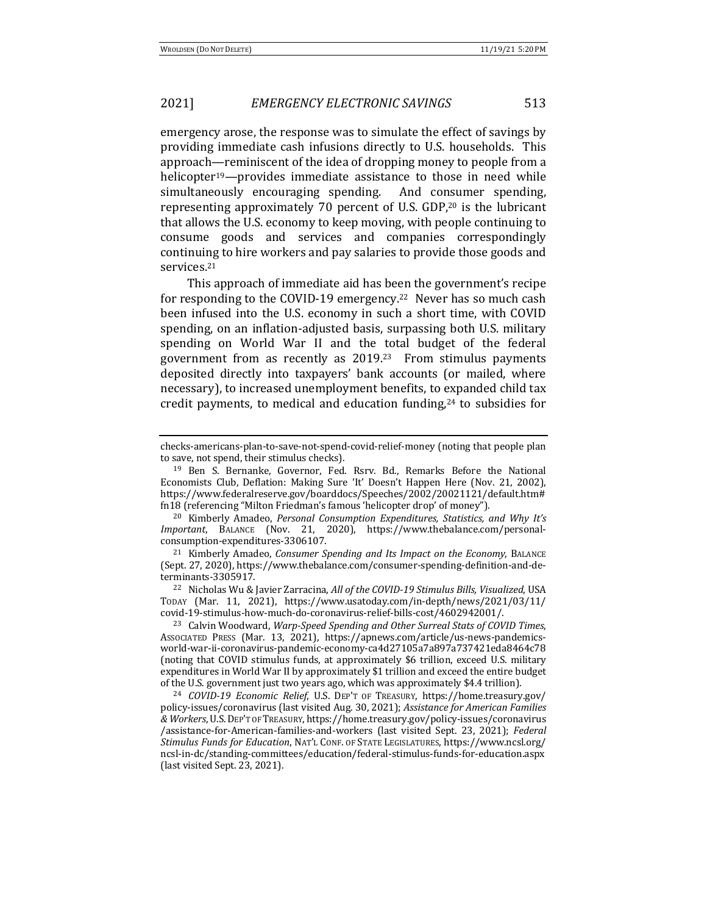emergency arose, the response was to simulate the effect of savings by providing immediate cash infusions directly to U.S. households. This approach—reminiscent of the idea of dropping money to people from a helicopter<sup>19</sup>—provides immediate assistance to those in need while simultaneously encouraging spending. And consumer spending, representing approximately 70 percent of U.S. GDP, $20$  is the lubricant that allows the U.S. economy to keep moving, with people continuing to consume goods and services and companies correspondingly continuing to hire workers and pay salaries to provide those goods and services.21

This approach of immediate aid has been the government's recipe for responding to the COVID-19 emergency.<sup>22</sup> Never has so much cash been infused into the U.S. economy in such a short time, with COVID spending, on an inflation-adjusted basis, surpassing both U.S. military spending on World War II and the total budget of the federal government from as recently as  $2019<sup>23</sup>$  From stimulus payments deposited directly into taxpayers' bank accounts (or mailed, where necessary), to increased unemployment benefits, to expanded child tax credit payments, to medical and education funding,<sup>24</sup> to subsidies for

<sup>20</sup> Kimberly Amadeo, *Personal Consumption Expenditures, Statistics, and Why It's Important*, BALANCE (Nov. 21, 2020), https://www.thebalance.com/personalconsumption-expenditures-3306107.

checks-americans-plan-to-save-not-spend-covid-relief-money (noting that people plan to save, not spend, their stimulus checks).

<sup>&</sup>lt;sup>19</sup> Ben S. Bernanke, Governor, Fed. Rsrv. Bd., Remarks Before the National Economists Club, Deflation: Making Sure 'It' Doesn't Happen Here (Nov. 21, 2002), https://www.federalreserve.gov/boarddocs/Speeches/2002/20021121/default.htm# fn18 (referencing "Milton Friedman's famous 'helicopter drop' of money").

<sup>&</sup>lt;sup>21</sup> Kimberly Amadeo, *Consumer Spending and Its Impact on the Economy*, BALANCE (Sept. 27, 2020), https://www.thebalance.com/consumer-spending-definition-and-determinants-3305917.

<sup>&</sup>lt;sup>22</sup> Nicholas Wu & Javier Zarracina, *All of the COVID-19 Stimulus Bills, Visualized*, USA TODAY (Mar. 11, 2021), https://www.usatoday.com/in-depth/news/2021/03/11/ covid-19-stimulus-how-much-do-coronavirus-relief-bills-cost/4602942001/.

<sup>&</sup>lt;sup>23</sup> Calvin Woodward, *Warp-Speed Spending and Other Surreal Stats of COVID Times*, ASSOCIATED PRESS (Mar. 13, 2021), https://apnews.com/article/us-news-pandemicsworld-war-ii-coronavirus-pandemic-economy-ca4d27105a7a897a737421eda8464c78 (noting that COVID stimulus funds, at approximately \$6 trillion, exceed U.S. military expenditures in World War II by approximately \$1 trillion and exceed the entire budget of the U.S. government just two years ago, which was approximately \$4.4 trillion).

<sup>24</sup> *COVID-19 Economic Relief*, U.S. DEP'T OF TREASURY, https://home.treasury.gov/ policy-issues/coronavirus (last visited Aug. 30, 2021); *Assistance for American Families & Workers*, U.S.DEP'T OF TREASURY, https://home.treasury.gov/policy-issues/coronavirus /assistance-for-American-families-and-workers (last visited Sept. 23, 2021); *Federal Stimulus Funds for Education*, NAT'L CONF. OF STATE LEGISLATURES, https://www.ncsl.org/ ncsl-in-dc/standing-committees/education/federal-stimulus-funds-for-education.aspx (last visited Sept. 23, 2021).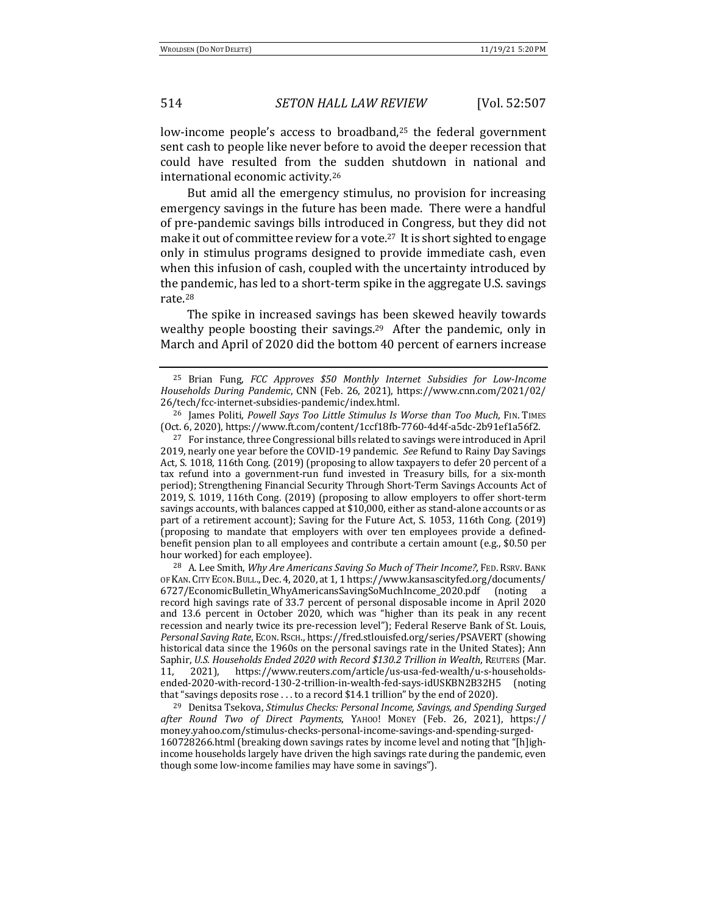low-income people's access to broadband,<sup>25</sup> the federal government sent cash to people like never before to avoid the deeper recession that could have resulted from the sudden shutdown in national and international economic activity.<sup>26</sup>

But amid all the emergency stimulus, no provision for increasing emergency savings in the future has been made. There were a handful of pre-pandemic savings bills introduced in Congress, but they did not make it out of committee review for a vote.<sup>27</sup> It is short sighted to engage only in stimulus programs designed to provide immediate cash, even when this infusion of cash, coupled with the uncertainty introduced by the pandemic, has led to a short-term spike in the aggregate U.S. savings rate.28

The spike in increased savings has been skewed heavily towards wealthy people boosting their savings.<sup>29</sup> After the pandemic, only in March and April of 2020 did the bottom 40 percent of earners increase

 $27$  For instance, three Congressional bills related to savings were introduced in April 2019, nearly one year before the COVID-19 pandemic. See Refund to Rainy Day Savings Act, S. 1018, 116th Cong. (2019) (proposing to allow taxpayers to defer 20 percent of a tax refund into a government-run fund invested in Treasury bills, for a six-month period); Strengthening Financial Security Through Short-Term Savings Accounts Act of 2019, S. 1019, 116th Cong. (2019) (proposing to allow employers to offer short-term savings accounts, with balances capped at \$10,000, either as stand-alone accounts or as part of a retirement account); Saving for the Future Act, S. 1053, 116th Cong. (2019) (proposing to mandate that employers with over ten employees provide a definedbenefit pension plan to all employees and contribute a certain amount (e.g.,  $$0.50$  per hour worked) for each employee).

<sup>28</sup> A. Lee Smith, *Why Are Americans Saving So Much of Their Income?*, FED. RSRV. BANK OF KAN. CITY ECON. BULL., Dec. 4, 2020, at 1, 1 https://www.kansascityfed.org/documents/ 6727/EconomicBulletin\_WhyAmericansSavingSoMuchIncome\_2020.pdf (noting a record high savings rate of 33.7 percent of personal disposable income in April 2020 and 13.6 percent in October 2020, which was "higher than its peak in any recent recession and nearly twice its pre-recession level"); Federal Reserve Bank of St. Louis, *Personal Saving Rate*, ECON.RSCH., https://fred.stlouisfed.org/series/PSAVERT (showing historical data since the 1960s on the personal savings rate in the United States); Ann Saphir, *U.S. Households Ended 2020 with Record* \$130.2 Trillion in Wealth, REUTERS (Mar. 11, 2021), https://www.reuters.com/article/us-usa-fed-wealth/u-s-householdsended-2020-with-record-130-2-trillion-in-wealth-fed-says-idUSKBN2B32H5 (noting that "savings deposits rose  $\dots$  to a record \$14.1 trillion" by the end of 2020).

<sup>29</sup> Denitsa Tsekova, *Stimulus Checks: Personal Income, Savings, and Spending Surged after Round Two of Direct Payments*, YAHOO! MONEY (Feb. 26, 2021), https:// money.yahoo.com/stimulus-checks-personal-income-savings-and-spending-surged-160728266.html (breaking down savings rates by income level and noting that "[h]ighincome households largely have driven the high savings rate during the pandemic, even though some low-income families may have some in savings").

<sup>&</sup>lt;sup>25</sup> Brian Fung, *FCC Approves* \$50 Monthly Internet Subsidies for Low-Income *Households During Pandemic*, CNN (Feb. 26, 2021), https://www.cnn.com/2021/02/ 26/tech/fcc-internet-subsidies-pandemic/index.html.

<sup>&</sup>lt;sup>26</sup> James Politi, *Powell Says Too Little Stimulus Is Worse than Too Much*, FIN. TIMES (Oct. 6, 2020), https://www.ft.com/content/1ccf18fb-7760-4d4f-a5dc-2b91ef1a56f2.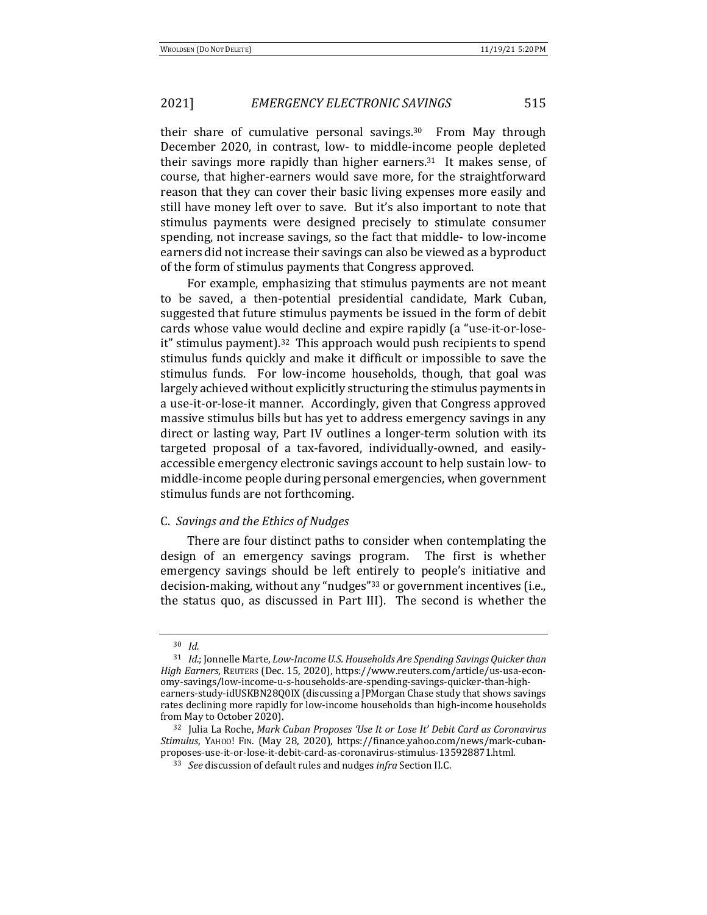their share of cumulative personal savings.<sup>30</sup> From May through December 2020, in contrast, low- to middle-income people depleted their savings more rapidly than higher earners.<sup>31</sup> It makes sense, of course, that higher-earners would save more, for the straightforward reason that they can cover their basic living expenses more easily and still have money left over to save. But it's also important to note that stimulus payments were designed precisely to stimulate consumer spending, not increase savings, so the fact that middle- to low-income earners did not increase their savings can also be viewed as a byproduct of the form of stimulus payments that Congress approved.

For example, emphasizing that stimulus payments are not meant to be saved, a then-potential presidential candidate, Mark Cuban, suggested that future stimulus payments be issued in the form of debit cards whose value would decline and expire rapidly (a "use-it-or-loseit" stimulus payment).<sup>32</sup> This approach would push recipients to spend stimulus funds quickly and make it difficult or impossible to save the stimulus funds. For low-income households, though, that goal was largely achieved without explicitly structuring the stimulus payments in a use-it-or-lose-it manner. Accordingly, given that Congress approved massive stimulus bills but has yet to address emergency savings in any direct or lasting way, Part IV outlines a longer-term solution with its targeted proposal of a tax-favored, individually-owned, and easilyaccessible emergency electronic savings account to help sustain low- to middle-income people during personal emergencies, when government stimulus funds are not forthcoming.

### C. *Savings and the Ethics of Nudges*

There are four distinct paths to consider when contemplating the design of an emergency savings program. The first is whether emergency savings should be left entirely to people's initiative and decision-making, without any "nudges"<sup>33</sup> or government incentives (i.e., the status quo, as discussed in Part III). The second is whether the

<sup>30</sup> *Id.*

<sup>&</sup>lt;sup>31</sup> *Id.*; Jonnelle Marte, *Low-Income U.S. Households Are Spending Savings Quicker than High Earners*, REUTERS (Dec. 15, 2020), https://www.reuters.com/article/us-usa-economy-savings/low-income-u-s-households-are-spending-savings-quicker-than-highearners-study-idUSKBN28Q0IX (discussing a JPMorgan Chase study that shows savings rates declining more rapidly for low-income households than high-income households from May to October 2020).

<sup>&</sup>lt;sup>32</sup> Julia La Roche, *Mark Cuban Proposes 'Use It or Lose It' Debit Card as Coronavirus Stimulus*, YAHOO! FIN. (May 28, 2020), https://finance.yahoo.com/news/mark-cubanproposes-use-it-or-lose-it-debit-card-as-coronavirus-stimulus-135928871.html.

<sup>&</sup>lt;sup>33</sup> *See* discussion of default rules and nudges *infra* Section II.C.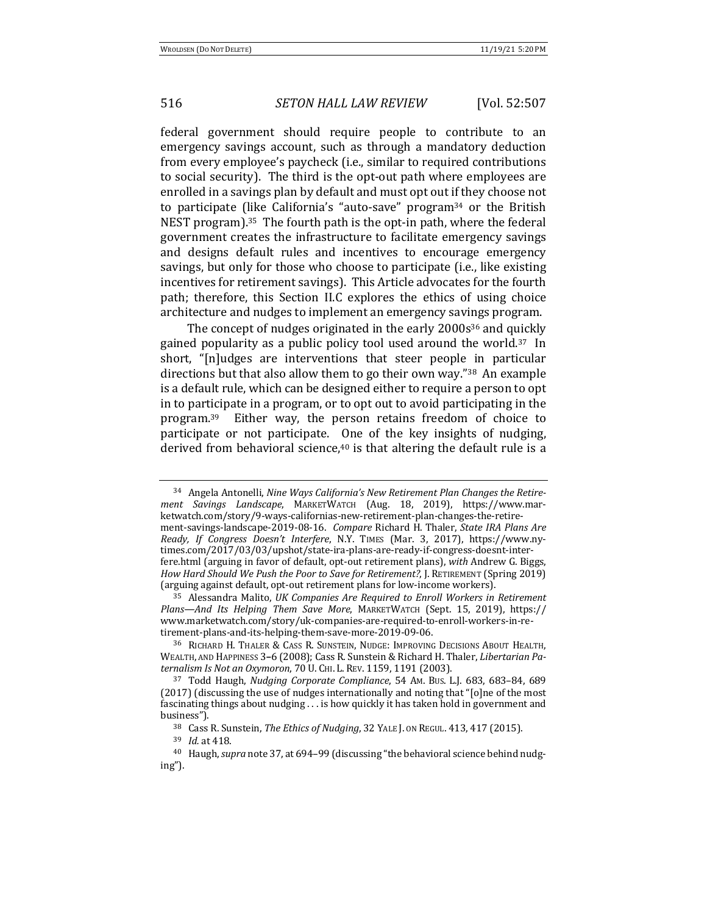federal government should require people to contribute to an emergency savings account, such as through a mandatory deduction from every employee's paycheck (i.e., similar to required contributions to social security). The third is the opt-out path where employees are enrolled in a savings plan by default and must opt out if they choose not to participate (like California's "auto-save" program<sup>34</sup> or the British NEST program).<sup>35</sup> The fourth path is the opt-in path, where the federal government creates the infrastructure to facilitate emergency savings and designs default rules and incentives to encourage emergency savings, but only for those who choose to participate (i.e., like existing incentives for retirement savings). This Article advocates for the fourth path; therefore, this Section II.C explores the ethics of using choice architecture and nudges to implement an emergency savings program.

The concept of nudges originated in the early  $2000s^{36}$  and quickly gained popularity as a public policy tool used around the world. $37$  In short, "[n]udges are interventions that steer people in particular directions but that also allow them to go their own way."<sup>38</sup> An example is a default rule, which can be designed either to require a person to opt in to participate in a program, or to opt out to avoid participating in the program.<sup>39</sup> Either way, the person retains freedom of choice to participate or not participate. One of the key insights of nudging, derived from behavioral science, $40$  is that altering the default rule is a

<sup>35</sup> Alessandra Malito, *UK Companies Are Required to Enroll Workers in Retirement* Plans—And Its Helping Them Save More, MARKETWATCH (Sept. 15, 2019), https:// www.marketwatch.com/story/uk-companies-are-required-to-enroll-workers-in-retirement-plans-and-its-helping-them-save-more-2019-09-06.

<sup>36</sup> RICHARD H. THALER & CASS R. SUNSTEIN, NUDGE: IMPROVING DECISIONS ABOUT HEALTH, WEALTH, AND HAPPINESS 3-6 (2008); Cass R. Sunstein & Richard H. Thaler, *Libertarian Paternalism Is Not an Oxymoron,* 70 U. CHI. L. REV. 1159, 1191 (2003).

<sup>&</sup>lt;sup>34</sup> Angela Antonelli, *Nine Ways California's New Retirement Plan Changes the Retirement Savings Landscape*, MARKETWATCH (Aug. 18, 2019), https://www.marketwatch.com/story/9-ways-californias-new-retirement-plan-changes-the-retirement-savings-landscape-2019-08-16. *Compare* Richard H. Thaler, *State IRA Plans Are Ready, If Congress Doesn't Interfere, N.Y. TIMES (Mar. 3, 2017), https://www.ny*times.com/2017/03/03/upshot/state-ira-plans-are-ready-if-congress-doesnt-interfere.html (arguing in favor of default, opt-out retirement plans), *with* Andrew G. Biggs, *How Hard Should We Push the Poor to Save for Retirement?,* J. RETIREMENT (Spring 2019) (arguing against default, opt-out retirement plans for low-income workers).

<sup>&</sup>lt;sup>37</sup> Todd Haugh, *Nudging Corporate Compliance*, 54 Am. Bus. L.J. 683, 683-84, 689  $(2017)$  (discussing the use of nudges internationally and noting that "[o]ne of the most fascinating things about nudging  $\ldots$  is how quickly it has taken hold in government and business").

<sup>&</sup>lt;sup>38</sup> Cass R. Sunstein, *The Ethics of Nudging*, 32 YALE J. ON REGUL. 413, 417 (2015).

<sup>39</sup> *Id.* at 418.

<sup>&</sup>lt;sup>40</sup> Haugh, *supra* note 37, at 694-99 (discussing "the behavioral science behind nudging").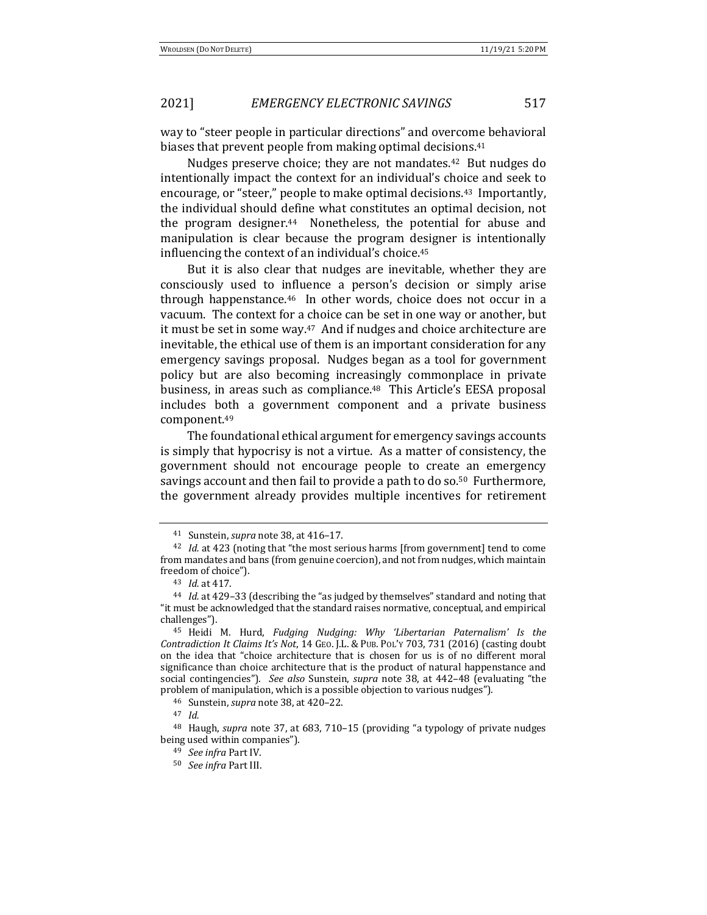way to "steer people in particular directions" and overcome behavioral biases that prevent people from making optimal decisions.<sup>41</sup>

Nudges preserve choice; they are not mandates.<sup>42</sup> But nudges do intentionally impact the context for an individual's choice and seek to encourage, or "steer," people to make optimal decisions.<sup>43</sup> Importantly, the individual should define what constitutes an optimal decision, not the program designer. $44$  Nonetheless, the potential for abuse and manipulation is clear because the program designer is intentionally influencing the context of an individual's choice.<sup>45</sup>

But it is also clear that nudges are inevitable, whether they are consciously used to influence a person's decision or simply arise through happenstance.<sup>46</sup> In other words, choice does not occur in a vacuum. The context for a choice can be set in one way or another, but it must be set in some way.<sup>47</sup> And if nudges and choice architecture are inevitable, the ethical use of them is an important consideration for any emergency savings proposal. Nudges began as a tool for government policy but are also becoming increasingly commonplace in private business, in areas such as compliance.<sup>48</sup> This Article's EESA proposal includes both a government component and a private business component.49

The foundational ethical argument for emergency savings accounts is simply that hypocrisy is not a virtue. As a matter of consistency, the government should not encourage people to create an emergency savings account and then fail to provide a path to do so.<sup>50</sup> Furthermore, the government already provides multiple incentives for retirement

<sup>41</sup> Sunstein, *supra* note 38, at 416-17.

<sup>&</sup>lt;sup>42</sup> *Id.* at 423 (noting that "the most serious harms [from government] tend to come from mandates and bans (from genuine coercion), and not from nudges, which maintain freedom of choice").

<sup>43</sup> *Id.* at 417.

<sup>&</sup>lt;sup>44</sup> *Id.* at 429-33 (describing the "as judged by themselves" standard and noting that "it must be acknowledged that the standard raises normative, conceptual, and empirical challenges").

<sup>&</sup>lt;sup>45</sup> Heidi M. Hurd, *Fudging Nudging: Why 'Libertarian Paternalism' Is the Contradiction It Claims It's Not*, 14 GEO. J.L. & PUB. POL'Y 703, 731 (2016) (casting doubt on the idea that "choice architecture that is chosen for us is of no different moral significance than choice architecture that is the product of natural happenstance and social contingencies"). See also Sunstein, *supra* note 38, at 442-48 (evaluating "the problem of manipulation, which is a possible objection to various nudges").

<sup>46</sup> Sunstein, *supra* note 38, at 420-22.

<sup>47</sup> *Id.*

<sup>&</sup>lt;sup>48</sup> Haugh, *supra* note 37, at 683, 710-15 (providing "a typology of private nudges being used within companies").

<sup>&</sup>lt;sup>49</sup> *See infra* Part IV.

<sup>50</sup> *See infra* Part III.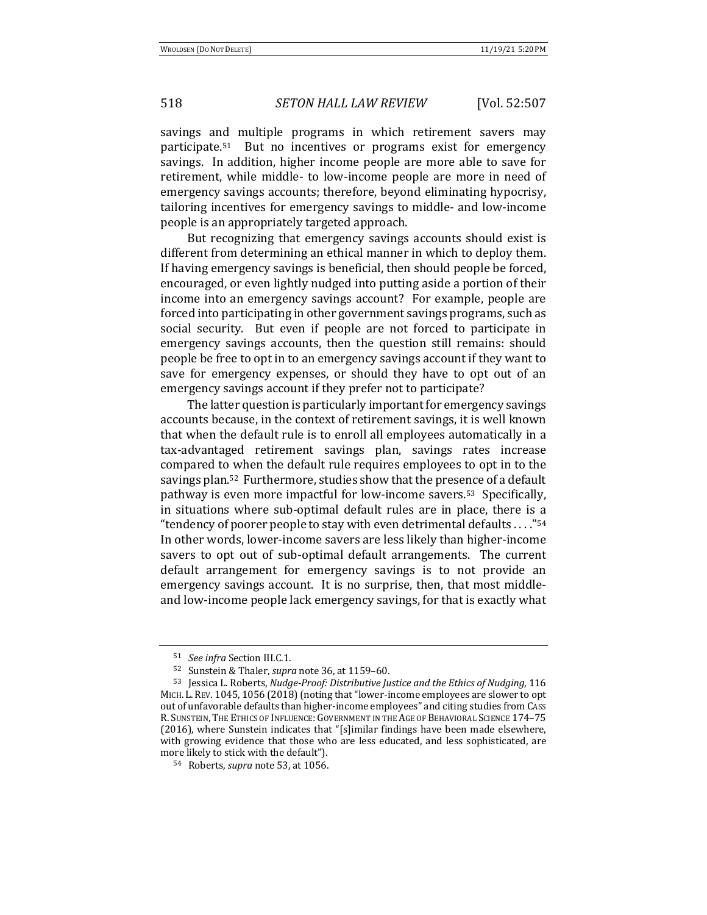savings and multiple programs in which retirement savers may participate.<sup>51</sup> But no incentives or programs exist for emergency savings. In addition, higher income people are more able to save for retirement, while middle- to low-income people are more in need of emergency savings accounts; therefore, beyond eliminating hypocrisy, tailoring incentives for emergency savings to middle- and low-income people is an appropriately targeted approach.

But recognizing that emergency savings accounts should exist is different from determining an ethical manner in which to deploy them. If having emergency savings is beneficial, then should people be forced, encouraged, or even lightly nudged into putting aside a portion of their income into an emergency savings account? For example, people are forced into participating in other government savings programs, such as social security. But even if people are not forced to participate in emergency savings accounts, then the question still remains: should people be free to opt in to an emergency savings account if they want to save for emergency expenses, or should they have to opt out of an emergency savings account if they prefer not to participate?

The latter question is particularly important for emergency savings accounts because, in the context of retirement savings, it is well known that when the default rule is to enroll all employees automatically in a tax-advantaged retirement savings plan, savings rates increase compared to when the default rule requires employees to opt in to the savings plan.<sup>52</sup> Furthermore, studies show that the presence of a default pathway is even more impactful for low-income savers.<sup>53</sup> Specifically, in situations where sub-optimal default rules are in place, there is a " tendency of poorer people to stay with even detrimental defaults  $\dots$ ."<sup>54</sup> In other words, lower-income savers are less likely than higher-income savers to opt out of sub-optimal default arrangements. The current default arrangement for emergency savings is to not provide an emergency savings account. It is no surprise, then, that most middleand low-income people lack emergency savings, for that is exactly what

<sup>51</sup> *See infra* Section III.C.1.

<sup>52</sup> Sunstein & Thaler, *supra* note 36, at 1159-60.

<sup>53</sup> Jessica L. Roberts, *Nudge-Proof: Distributive Justice and the Ethics of Nudging*, 116 MICH. L. REV. 1045, 1056 (2018) (noting that "lower-income employees are slower to opt out of unfavorable defaults than higher-income employees" and citing studies from CASS R. SUNSTEIN, THE ETHICS OF INFLUENCE: GOVERNMENT IN THE AGE OF BEHAVIORAL SCIENCE 174-75 (2016), where Sunstein indicates that "[s]imilar findings have been made elsewhere, with growing evidence that those who are less educated, and less sophisticated, are more likely to stick with the default").

<sup>54</sup> Roberts, *supra* note 53, at 1056.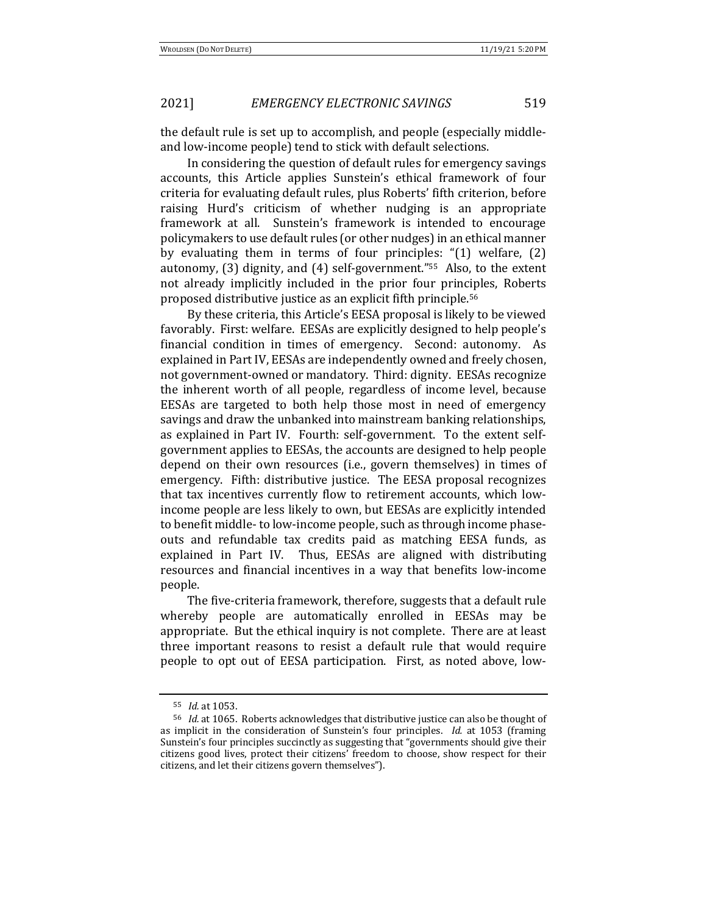the default rule is set up to accomplish, and people (especially middleand low-income people) tend to stick with default selections.

In considering the question of default rules for emergency savings accounts, this Article applies Sunstein's ethical framework of four criteria for evaluating default rules, plus Roberts' fifth criterion, before raising Hurd's criticism of whether nudging is an appropriate framework at all. Sunstein's framework is intended to encourage policymakers to use default rules (or other nudges) in an ethical manner by evaluating them in terms of four principles:  $(1)$  welfare,  $(2)$ autonomy,  $(3)$  dignity, and  $(4)$  self-government."<sup>55</sup> Also, to the extent not already implicitly included in the prior four principles, Roberts proposed distributive justice as an explicit fifth principle.<sup>56</sup>

By these criteria, this Article's EESA proposal is likely to be viewed favorably. First: welfare. EESAs are explicitly designed to help people's financial condition in times of emergency. Second: autonomy. As explained in Part IV, EESAs are independently owned and freely chosen, not government-owned or mandatory. Third: dignity. EESAs recognize the inherent worth of all people, regardless of income level, because EESAs are targeted to both help those most in need of emergency savings and draw the unbanked into mainstream banking relationships, as explained in Part IV. Fourth: self-government. To the extent selfgovernment applies to EESAs, the accounts are designed to help people depend on their own resources (i.e., govern themselves) in times of emergency. Fifth: distributive justice. The EESA proposal recognizes that tax incentives currently flow to retirement accounts, which lowincome people are less likely to own, but EESAs are explicitly intended to benefit middle- to low-income people, such as through income phaseouts and refundable tax credits paid as matching EESA funds, as explained in Part IV. Thus, EESAs are aligned with distributing resources and financial incentives in a way that benefits low-income people.

The five-criteria framework, therefore, suggests that a default rule whereby people are automatically enrolled in EESAs may be appropriate. But the ethical inquiry is not complete. There are at least three important reasons to resist a default rule that would require people to opt out of EESA participation. First, as noted above, low-

<sup>55</sup> *Id.* at 1053.

<sup>&</sup>lt;sup>56</sup> *Id.* at 1065. Roberts acknowledges that distributive justice can also be thought of as implicit in the consideration of Sunstein's four principles. *Id.* at 1053 (framing Sunstein's four principles succinctly as suggesting that "governments should give their citizens good lives, protect their citizens' freedom to choose, show respect for their citizens, and let their citizens govern themselves").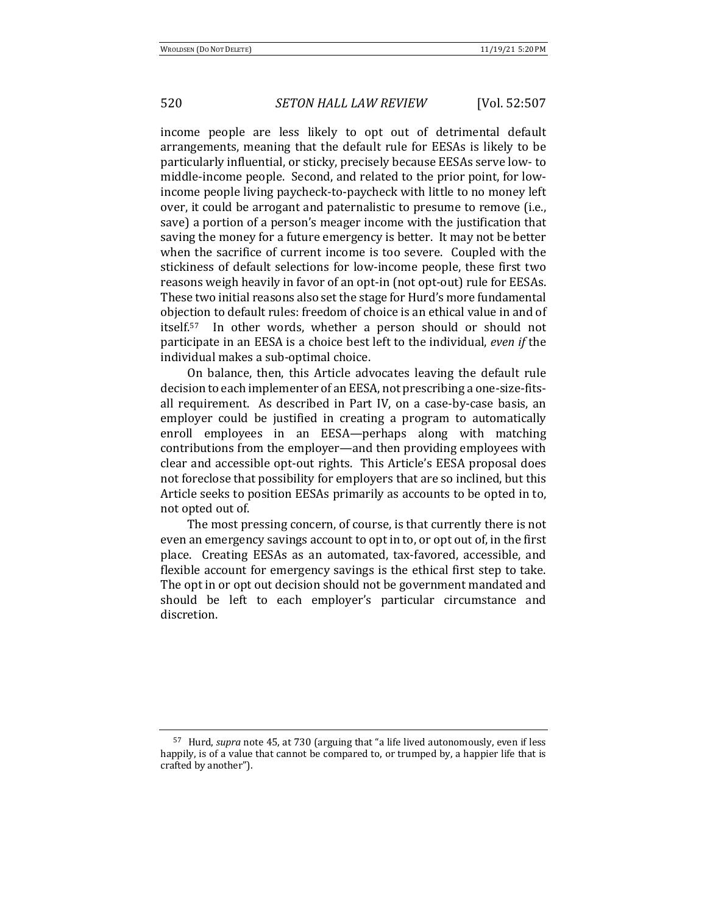income people are less likely to opt out of detrimental default arrangements, meaning that the default rule for EESAs is likely to be particularly influential, or sticky, precisely because EESAs serve low- to middle-income people. Second, and related to the prior point, for lowincome people living paycheck-to-paycheck with little to no money left over, it could be arrogant and paternalistic to presume to remove (i.e., save) a portion of a person's meager income with the justification that saving the money for a future emergency is better. It may not be better when the sacrifice of current income is too severe. Coupled with the stickiness of default selections for low-income people, these first two reasons weigh heavily in favor of an opt-in (not opt-out) rule for EESAs. These two initial reasons also set the stage for Hurd's more fundamental objection to default rules: freedom of choice is an ethical value in and of itself.<sup>57</sup> In other words, whether a person should or should not participate in an EESA is a choice best left to the individual, *even if* the individual makes a sub-optimal choice.

On balance, then, this Article advocates leaving the default rule decision to each implementer of an EESA, not prescribing a one-size-fitsall requirement. As described in Part IV, on a case-by-case basis, an employer could be justified in creating a program to automatically enroll employees in an EESA—perhaps along with matching contributions from the employer—and then providing employees with clear and accessible opt-out rights. This Article's EESA proposal does not foreclose that possibility for employers that are so inclined, but this Article seeks to position EESAs primarily as accounts to be opted in to, not opted out of.

The most pressing concern, of course, is that currently there is not even an emergency savings account to opt in to, or opt out of, in the first place. Creating EESAs as an automated, tax-favored, accessible, and flexible account for emergency savings is the ethical first step to take. The opt in or opt out decision should not be government mandated and should be left to each employer's particular circumstance and discretion.

<sup>&</sup>lt;sup>57</sup> Hurd, *supra* note 45, at 730 (arguing that "a life lived autonomously, even if less happily, is of a value that cannot be compared to, or trumped by, a happier life that is crafted by another").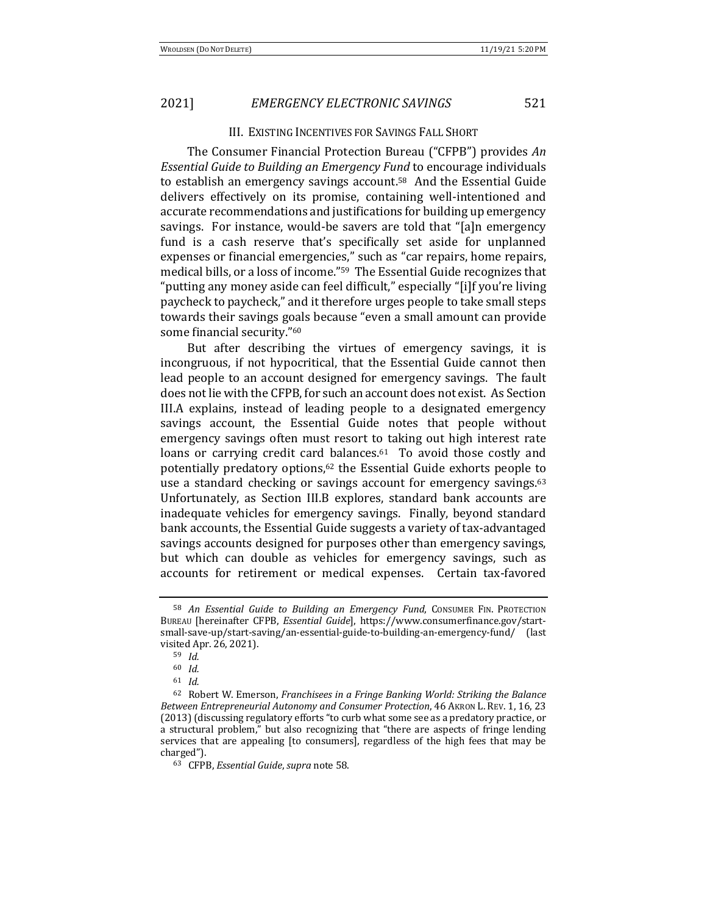### **III. EXISTING INCENTIVES FOR SAVINGS FALL SHORT**

The Consumer Financial Protection Bureau ("CFPB") provides *An Essential Guide to Building an Emergency Fund* to encourage individuals to establish an emergency savings account.<sup>58</sup> And the Essential Guide delivers effectively on its promise, containing well-intentioned and accurate recommendations and justifications for building up emergency savings. For instance, would-be savers are told that "[a]n emergency fund is a cash reserve that's specifically set aside for unplanned expenses or financial emergencies," such as "car repairs, home repairs, medical bills, or a loss of income."<sup>59</sup> The Essential Guide recognizes that "putting any money aside can feel difficult," especially "[i]f you're living paycheck to paycheck," and it therefore urges people to take small steps towards their savings goals because "even a small amount can provide some financial security."<sup>60</sup>

But after describing the virtues of emergency savings, it is incongruous, if not hypocritical, that the Essential Guide cannot then lead people to an account designed for emergency savings. The fault does not lie with the CFPB, for such an account does not exist. As Section III.A explains, instead of leading people to a designated emergency savings account, the Essential Guide notes that people without emergency savings often must resort to taking out high interest rate loans or carrying credit card balances. $61$  To avoid those costly and potentially predatory options,<sup>62</sup> the Essential Guide exhorts people to use a standard checking or savings account for emergency savings. $63$ Unfortunately, as Section III.B explores, standard bank accounts are inadequate vehicles for emergency savings. Finally, beyond standard bank accounts, the Essential Guide suggests a variety of tax-advantaged savings accounts designed for purposes other than emergency savings, but which can double as vehicles for emergency savings, such as accounts for retirement or medical expenses. Certain tax-favored

<sup>&</sup>lt;sup>58</sup> An Essential Guide to Building an Emergency Fund, CONSUMER FIN. PROTECTION BUREAU [hereinafter CFPB, *Essential Guide*], https://www.consumerfinance.gov/startsmall-save-up/start-saving/an-essential-guide-to-building-an-emergency-fund/ (last visited Apr. 26, 2021).

<sup>59</sup> *Id.*

<sup>60</sup> *Id.*

<sup>61</sup> *Id.*

<sup>&</sup>lt;sup>62</sup> Robert W. Emerson, *Franchisees in a Fringe Banking World: Striking the Balance Between Entrepreneurial Autonomy and Consumer Protection,* 46 AKRON L. REV. 1, 16, 23 (2013) (discussing regulatory efforts "to curb what some see as a predatory practice, or a structural problem," but also recognizing that "there are aspects of fringe lending services that are appealing [to consumers], regardless of the high fees that may be charged").

<sup>63</sup> CFPB, *Essential Guide*, *supra* note 58.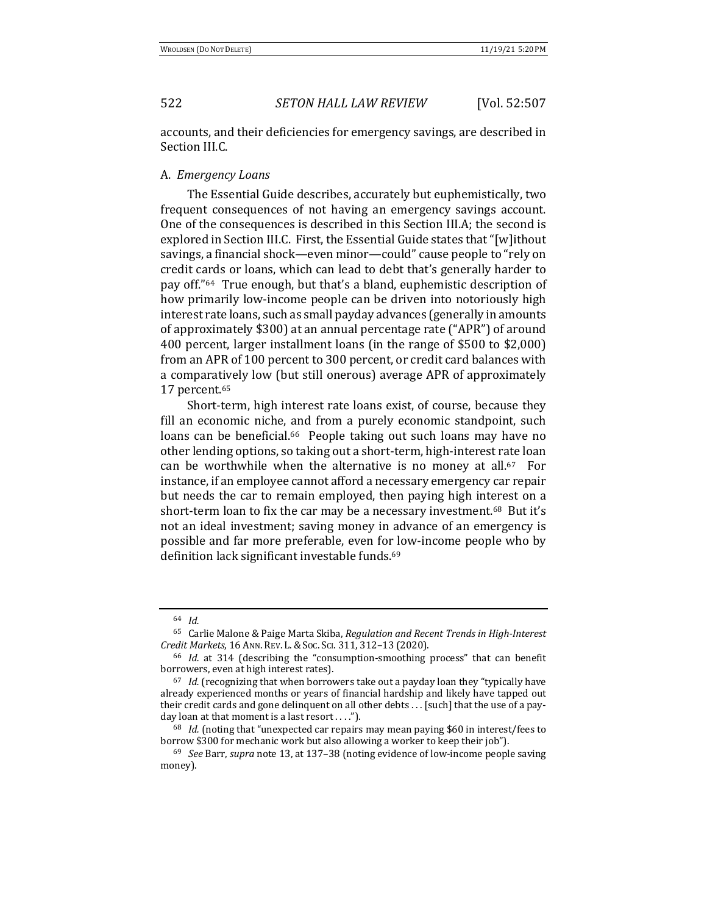accounts, and their deficiencies for emergency savings, are described in Section III.C.

### A. *Emergency Loans*

The Essential Guide describes, accurately but euphemistically, two frequent consequences of not having an emergency savings account. One of the consequences is described in this Section III.A; the second is explored in Section III.C. First, the Essential Guide states that "[w]ithout savings, a financial shock—even minor—could" cause people to "rely on credit cards or loans, which can lead to debt that's generally harder to pay off."<sup>64</sup> True enough, but that's a bland, euphemistic description of how primarily low-income people can be driven into notoriously high interest rate loans, such as small payday advances (generally in amounts of approximately \$300) at an annual percentage rate ("APR") of around 400 percent, larger installment loans (in the range of \$500 to \$2,000) from an APR of 100 percent to 300 percent, or credit card balances with a comparatively low (but still onerous) average APR of approximately 17 percent.65

Short-term, high interest rate loans exist, of course, because they fill an economic niche, and from a purely economic standpoint, such loans can be beneficial.<sup>66</sup> People taking out such loans may have no other lending options, so taking out a short-term, high-interest rate loan can be worthwhile when the alternative is no money at all. $67$  For instance, if an employee cannot afford a necessary emergency car repair but needs the car to remain employed, then paying high interest on a short-term loan to fix the car may be a necessary investment.<sup>68</sup> But it's not an ideal investment; saving money in advance of an emergency is possible and far more preferable, even for low-income people who by definition lack significant investable funds.<sup>69</sup>

<sup>64</sup> *Id.*

<sup>&</sup>lt;sup>65</sup> Carlie Malone & Paige Marta Skiba, *Regulation and Recent Trends in High-Interest Credit Markets*, 16 ANN. REV. L.&SOC. SCI. 311, 312–13 (2020).

<sup>&</sup>lt;sup>66</sup> *Id.* at 314 (describing the "consumption-smoothing process" that can benefit borrowers, even at high interest rates).

<sup>&</sup>lt;sup>67</sup> *Id.* (recognizing that when borrowers take out a payday loan they "typically have already experienced months or years of financial hardship and likely have tapped out their credit cards and gone delinquent on all other debts . . . [such] that the use of a payday loan at that moment is a last resort . . . .").

 $68$  *Id.* (noting that "unexpected car repairs may mean paying \$60 in interest/fees to borrow \$300 for mechanic work but also allowing a worker to keep their job").

<sup>&</sup>lt;sup>69</sup> *See* Barr, *supra* note 13, at 137–38 (noting evidence of low-income people saving money).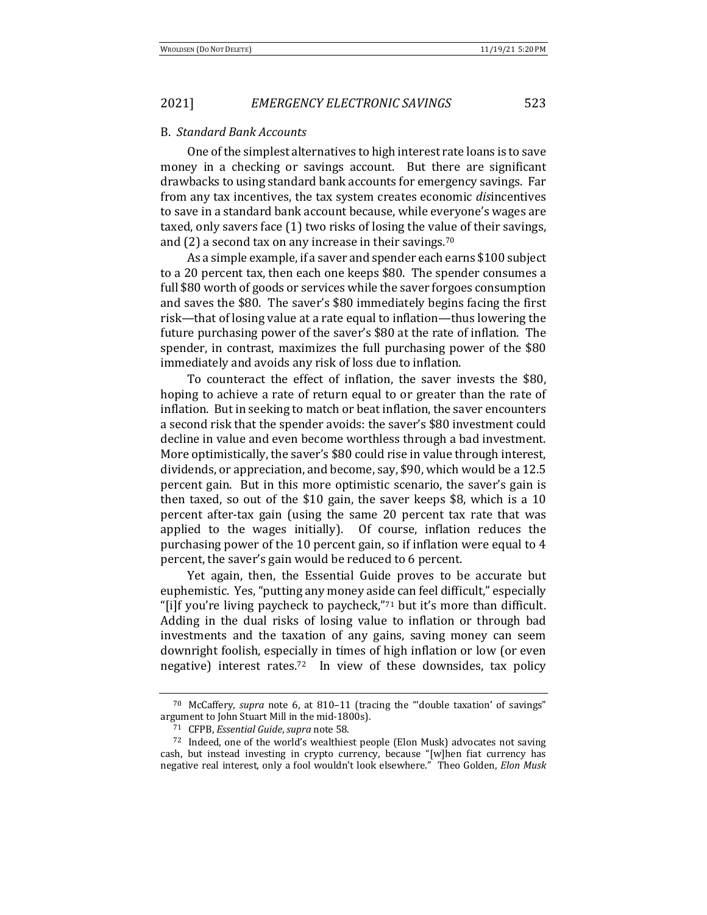#### B. *Standard Bank Accounts*

One of the simplest alternatives to high interest rate loans is to save money in a checking or savings account. But there are significant drawbacks to using standard bank accounts for emergency savings. Far from any tax incentives, the tax system creates economic *disincentives* to save in a standard bank account because, while everyone's wages are taxed, only savers face (1) two risks of losing the value of their savings, and  $(2)$  a second tax on any increase in their savings.<sup>70</sup>

As a simple example, if a saver and spender each earns \$100 subject to a 20 percent tax, then each one keeps \$80. The spender consumes a full \$80 worth of goods or services while the saver forgoes consumption and saves the \$80. The saver's \$80 immediately begins facing the first risk—that of losing value at a rate equal to inflation—thus lowering the future purchasing power of the saver's \$80 at the rate of inflation. The spender, in contrast, maximizes the full purchasing power of the \$80 immediately and avoids any risk of loss due to inflation.

To counteract the effect of inflation, the saver invests the \$80, hoping to achieve a rate of return equal to or greater than the rate of inflation. But in seeking to match or beat inflation, the saver encounters a second risk that the spender avoids: the saver's \$80 investment could decline in value and even become worthless through a bad investment. More optimistically, the saver's \$80 could rise in value through interest, dividends, or appreciation, and become, say, \$90, which would be a 12.5 percent gain. But in this more optimistic scenario, the saver's gain is then taxed, so out of the \$10 gain, the saver keeps \$8, which is a 10 percent after-tax gain (using the same 20 percent tax rate that was applied to the wages initially). Of course, inflation reduces the purchasing power of the 10 percent gain, so if inflation were equal to 4 percent, the saver's gain would be reduced to 6 percent.

Yet again, then, the Essential Guide proves to be accurate but euphemistic. Yes, "putting any money aside can feel difficult," especially "[i]f you're living paycheck to paycheck," $71$  but it's more than difficult. Adding in the dual risks of losing value to inflation or through bad investments and the taxation of any gains, saving money can seem downright foolish, especially in times of high inflation or low (or even negative) interest rates.<sup>72</sup> In view of these downsides, tax policy

<sup>&</sup>lt;sup>70</sup> McCaffery, *supra* note 6, at 810-11 (tracing the "'double taxation' of savings" argument to John Stuart Mill in the mid-1800s).

<sup>71</sup> CFPB, *Essential Guide*, *supra* note 58.

<sup>72</sup> Indeed, one of the world's wealthiest people (Elon Musk) advocates not saving cash, but instead investing in crypto currency, because "[w]hen fiat currency has negative real interest, only a fool wouldn't look elsewhere." Theo Golden, *Elon Musk*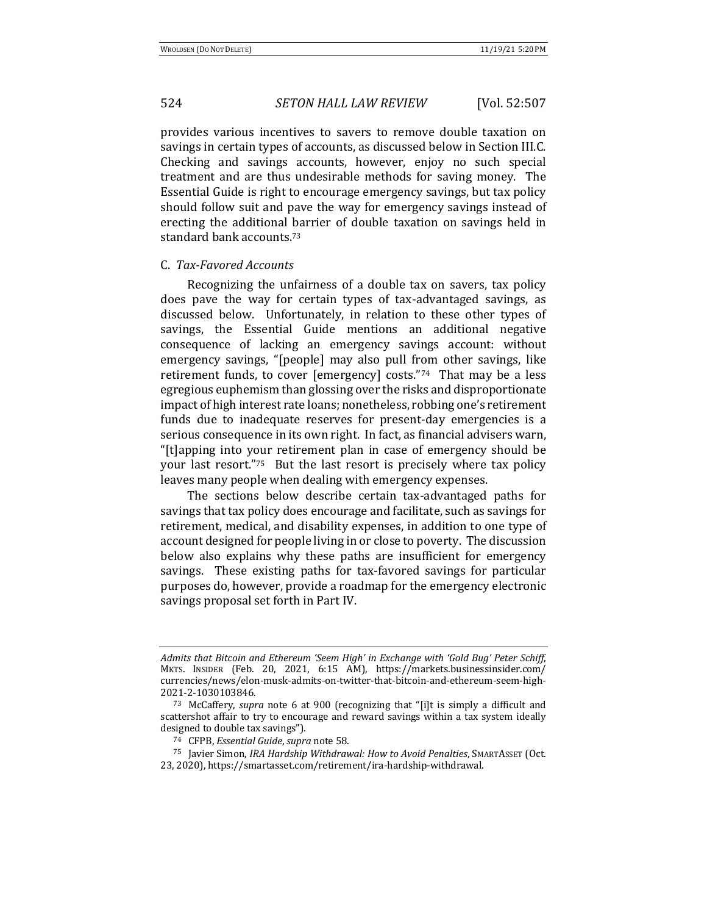provides various incentives to savers to remove double taxation on savings in certain types of accounts, as discussed below in Section III.C. Checking and savings accounts, however, enjoy no such special treatment and are thus undesirable methods for saving money. The Essential Guide is right to encourage emergency savings, but tax policy should follow suit and pave the way for emergency savings instead of erecting the additional barrier of double taxation on savings held in standard bank accounts.<sup>73</sup>

#### C. *Tax-Favored Accounts*

Recognizing the unfairness of a double tax on savers, tax policy does pave the way for certain types of tax-advantaged savings, as discussed below. Unfortunately, in relation to these other types of savings, the Essential Guide mentions an additional negative consequence of lacking an emergency savings account: without emergency savings, "[people] may also pull from other savings, like retirement funds, to cover [emergency] costs."<sup>74</sup> That may be a less egregious euphemism than glossing over the risks and disproportionate impact of high interest rate loans; nonetheless, robbing one's retirement funds due to inadequate reserves for present-day emergencies is a serious consequence in its own right. In fact, as financial advisers warn, "[t]apping into your retirement plan in case of emergency should be your last resort." $75$  But the last resort is precisely where tax policy leaves many people when dealing with emergency expenses.

The sections below describe certain tax-advantaged paths for savings that tax policy does encourage and facilitate, such as savings for retirement, medical, and disability expenses, in addition to one type of account designed for people living in or close to poverty. The discussion below also explains why these paths are insufficient for emergency savings. These existing paths for tax-favored savings for particular purposes do, however, provide a roadmap for the emergency electronic savings proposal set forth in Part IV.

*Admits* that Bitcoin and Ethereum 'Seem High' in Exchange with 'Gold Bug' Peter Schiff, MKTS. INSIDER (Feb. 20, 2021, 6:15 AM), https://markets.businessinsider.com/ currencies/news/elon-musk-admits-on-twitter-that-bitcoin-and-ethereum-seem-high-2021-2-1030103846.

<sup>73</sup> McCaffery, *supra* note 6 at 900 (recognizing that "[i]t is simply a difficult and scattershot affair to try to encourage and reward savings within a tax system ideally designed to double tax savings").

<sup>74</sup> CFPB, *Essential Guide*, *supra* note 58.

<sup>75</sup> Javier Simon, *IRA Hardship Withdrawal: How to Avoid Penalties*, SMARTASSET (Oct. 23, 2020), https://smartasset.com/retirement/ira-hardship-withdrawal.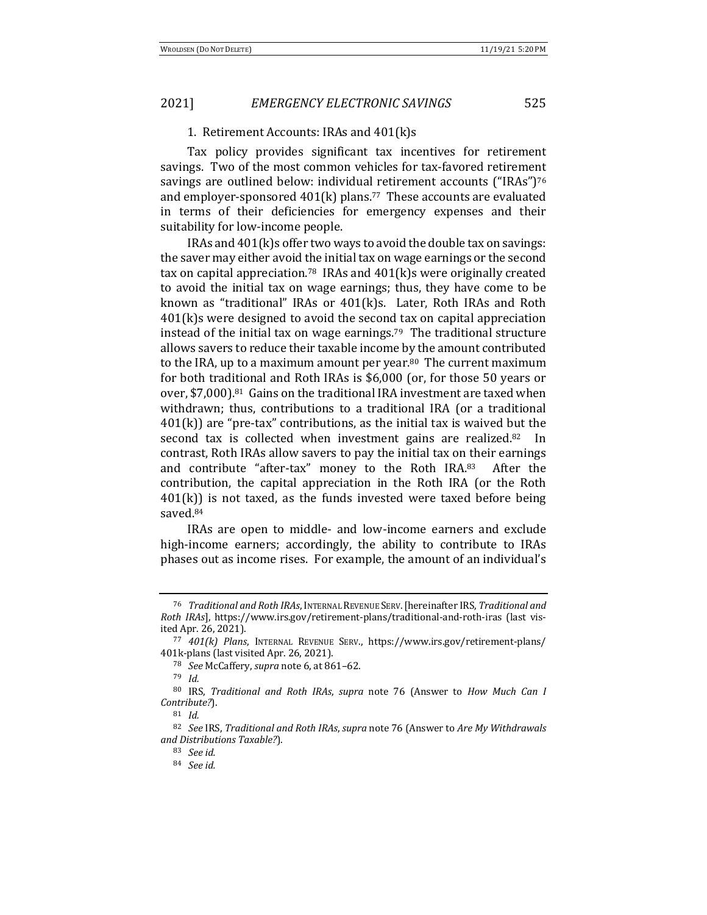## 1. Retirement Accounts: IRAs and 401(k)s

Tax policy provides significant tax incentives for retirement savings. Two of the most common vehicles for tax-favored retirement savings are outlined below: individual retirement accounts ("IRAs")76 and employer-sponsored  $401(k)$  plans.<sup>77</sup> These accounts are evaluated in terms of their deficiencies for emergency expenses and their suitability for low-income people.

IRAs and  $401(k)$ s offer two ways to avoid the double tax on savings: the saver may either avoid the initial tax on wage earnings or the second tax on capital appreciation.<sup>78</sup> IRAs and  $401(k)$ s were originally created to avoid the initial tax on wage earnings; thus, they have come to be known as "traditional" IRAs or  $401(k)s$ . Later, Roth IRAs and Roth  $401(k)$ s were designed to avoid the second tax on capital appreciation instead of the initial tax on wage earnings.<sup>79</sup> The traditional structure allows savers to reduce their taxable income by the amount contributed to the IRA, up to a maximum amount per year.<sup>80</sup> The current maximum for both traditional and Roth IRAs is \$6,000 (or, for those 50 years or over, \$7,000).<sup>81</sup> Gains on the traditional IRA investment are taxed when withdrawn; thus, contributions to a traditional IRA (or a traditional  $401(k)$  are "pre-tax" contributions, as the initial tax is waived but the second tax is collected when investment gains are realized. $82$  In contrast, Roth IRAs allow savers to pay the initial tax on their earnings and contribute "after-tax" money to the Roth IRA.83 After the contribution, the capital appreciation in the Roth IRA (or the Roth  $401(k)$ ) is not taxed, as the funds invested were taxed before being saved.84 

IRAs are open to middle- and low-income earners and exclude high-income earners; accordingly, the ability to contribute to IRAs phases out as income rises. For example, the amount of an individual's

<sup>&</sup>lt;sup>76</sup> *Traditional and Roth IRAs, INTERNAL REVENUE SERV. [hereinafter IRS, Traditional and Roth IRAs*], https://www.irs.gov/retirement-plans/traditional-and-roth-iras (last visited Apr. 26, 2021).

<sup>77 401(</sup>k) Plans, INTERNAL REVENUE SERV., https://www.irs.gov/retirement-plans/ 401k-plans (last visited Apr. 26, 2021).

<sup>78</sup> *See* McCaffery, *supra* note 6, at 861-62.

<sup>79</sup> *Id.*

<sup>80</sup> IRS, *Traditional and Roth IRAs*, *supra* note 76 (Answer to *How Much Can I Contribute?*). 

<sup>81</sup> *Id.*

<sup>82</sup> See IRS, Traditional and Roth IRAs, supra note 76 (Answer to Are My Withdrawals *and Distributions Taxable?*).

<sup>83</sup> *See id.*

<sup>84</sup> *See id.*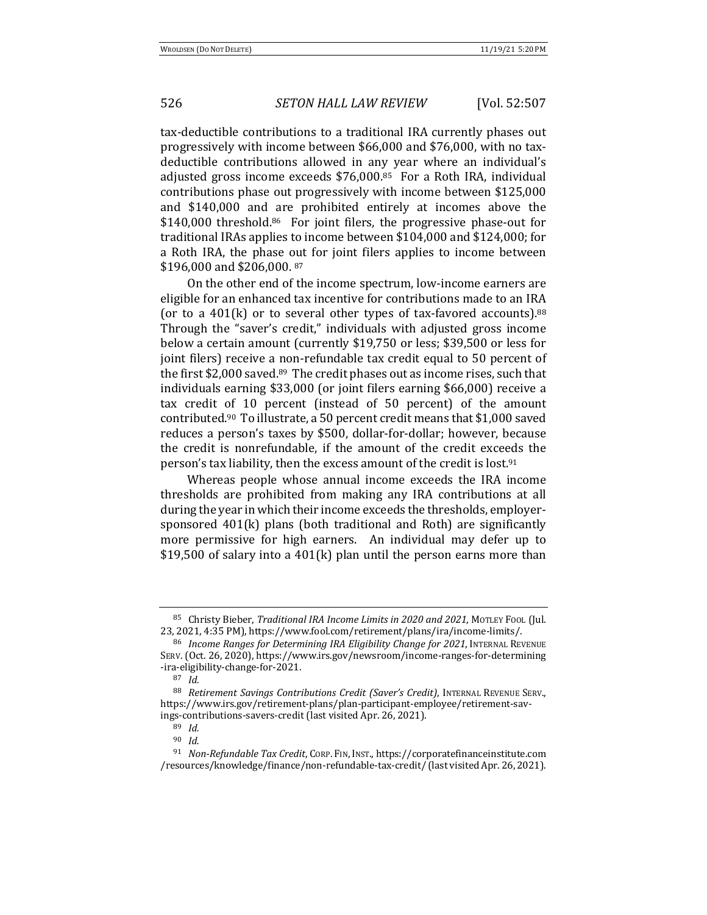tax-deductible contributions to a traditional IRA currently phases out progressively with income between \$66,000 and \$76,000, with no taxdeductible contributions allowed in any year where an individual's adjusted gross income exceeds  $$76,000$ .<sup>85</sup> For a Roth IRA, individual contributions phase out progressively with income between \$125,000 and \$140,000 and are prohibited entirely at incomes above the  $$140,000$  threshold.<sup>86</sup> For joint filers, the progressive phase-out for traditional IRAs applies to income between \$104,000 and \$124,000; for a Roth IRA, the phase out for joint filers applies to income between \$196,000 and \$206,000. 87

On the other end of the income spectrum, low-income earners are eligible for an enhanced tax incentive for contributions made to an IRA (or to a  $401(k)$  or to several other types of tax-favored accounts).<sup>88</sup> Through the "saver's credit," individuals with adjusted gross income below a certain amount (currently \$19,750 or less; \$39,500 or less for joint filers) receive a non-refundable tax credit equal to 50 percent of the first \$2,000 saved.<sup>89</sup> The credit phases out as income rises, such that individuals earning \$33,000 (or joint filers earning \$66,000) receive a tax credit of 10 percent (instead of 50 percent) of the amount contributed.<sup>90</sup> To illustrate, a 50 percent credit means that \$1,000 saved reduces a person's taxes by \$500, dollar-for-dollar; however, because the credit is nonrefundable, if the amount of the credit exceeds the person's tax liability, then the excess amount of the credit is lost.<sup>91</sup>

Whereas people whose annual income exceeds the IRA income thresholds are prohibited from making any IRA contributions at all during the year in which their income exceeds the thresholds, employersponsored  $401(k)$  plans (both traditional and Roth) are significantly more permissive for high earners. An individual may defer up to \$19,500 of salary into a 401(k) plan until the person earns more than

<sup>85</sup> Christy Bieber, *Traditional IRA Income Limits in 2020 and 2021*, MOTLEY FOOL (Jul.) 23, 2021, 4:35 PM), https://www.fool.com/retirement/plans/ira/income-limits/.

<sup>&</sup>lt;sup>86</sup> *Income Ranges for Determining IRA Eligibility Change for 2021*, INTERNAL REVENUE SERV. (Oct. 26, 2020), https://www.irs.gov/newsroom/income-ranges-for-determining -ira-eligibility-change-for-2021. 

<sup>87</sup> *Id.*

<sup>88</sup> *Retirement Savings Contributions Credit (Saver's Credit)*, INTERNAL REVENUE SERV., https://www.irs.gov/retirement-plans/plan-participant-employee/retirement-savings-contributions-savers-credit (last visited Apr. 26, 2021).

<sup>89</sup> *Id.*

<sup>90</sup> *Id.*

<sup>&</sup>lt;sup>91</sup> *Non-Refundable Tax Credit, CORP. FIN, INST., https://corporatefinanceinstitute.com* /resources/knowledge/finance/non-refundable-tax-credit/ (last visited Apr. 26, 2021).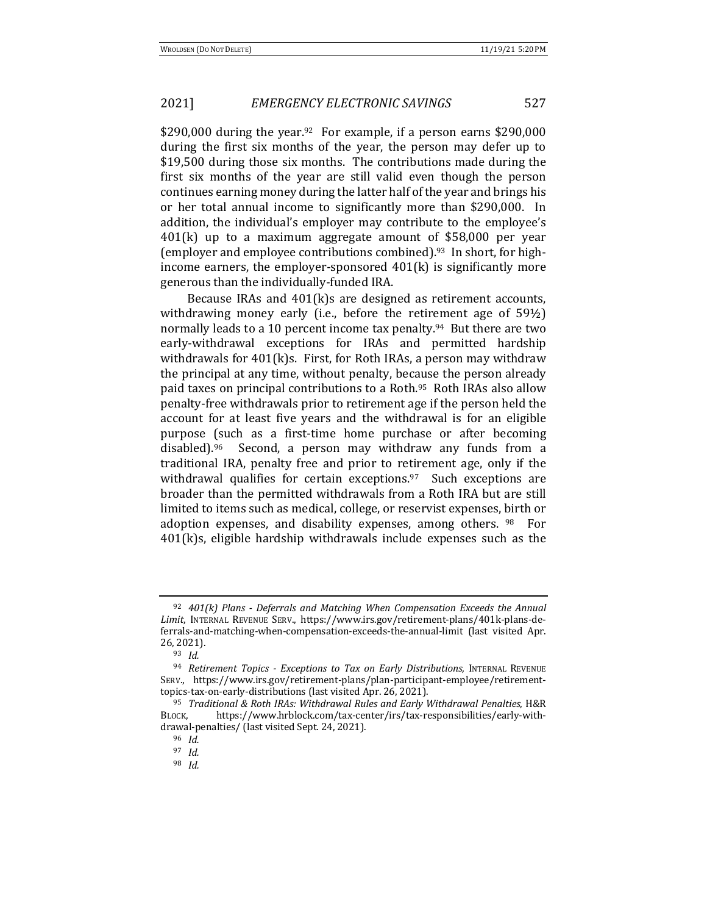\$290,000 during the year.<sup>92</sup> For example, if a person earns  $$290,000$ during the first six months of the year, the person may defer up to  $$19,500$  during those six months. The contributions made during the first six months of the year are still valid even though the person continues earning money during the latter half of the year and brings his or her total annual income to significantly more than \$290,000. In addition, the individual's employer may contribute to the employee's  $401(k)$  up to a maximum aggregate amount of \$58,000 per year (employer and employee contributions combined).<sup>93</sup> In short, for highincome earners, the employer-sponsored  $401(k)$  is significantly more generous than the individually-funded IRA.

Because IRAs and  $401(k)$ s are designed as retirement accounts, withdrawing money early (i.e., before the retirement age of  $59\frac{1}{2}$ ) normally leads to a 10 percent income tax penalty.<sup>94</sup> But there are two early-withdrawal exceptions for IRAs and permitted hardship withdrawals for  $401(k)s$ . First, for Roth IRAs, a person may withdraw the principal at any time, without penalty, because the person already paid taxes on principal contributions to a Roth.<sup>95</sup> Roth IRAs also allow penalty-free withdrawals prior to retirement age if the person held the account for at least five years and the withdrawal is for an eligible purpose (such as a first-time home purchase or after becoming disabled).<sup>96</sup> Second, a person may withdraw any funds from a traditional IRA, penalty free and prior to retirement age, only if the withdrawal qualifies for certain exceptions. $97$  Such exceptions are broader than the permitted withdrawals from a Roth IRA but are still limited to items such as medical, college, or reservist expenses, birth or adoption expenses, and disability expenses, among others.  $98$  For  $401(k)s$ , eligible hardship withdrawals include expenses such as the

<sup>&</sup>lt;sup>92</sup> 401(k) Plans - Deferrals and Matching When Compensation Exceeds the Annual Limit, INTERNAL REVENUE SERV., https://www.irs.gov/retirement-plans/401k-plans-deferrals-and-matching-when-compensation-exceeds-the-annual-limit (last visited Apr. 26, 2021).

<sup>93</sup> *Id.*

<sup>&</sup>lt;sup>94</sup> *Retirement Topics - Exceptions to Tax on Early Distributions*, INTERNAL REVENUE SERV., https://www.irs.gov/retirement-plans/plan-participant-employee/retirementtopics-tax-on-early-distributions (last visited Apr. 26, 2021).

<sup>&</sup>lt;sup>95</sup> *Traditional & Roth IRAs: Withdrawal Rules and Early Withdrawal Penalties*, H&R BLOCK, https://www.hrblock.com/tax-center/irs/tax-responsibilities/early-withdrawal-penalties/ (last visited Sept. 24, 2021).

<sup>96</sup> *Id.*

<sup>97</sup> *Id.*

<sup>98</sup> *Id.*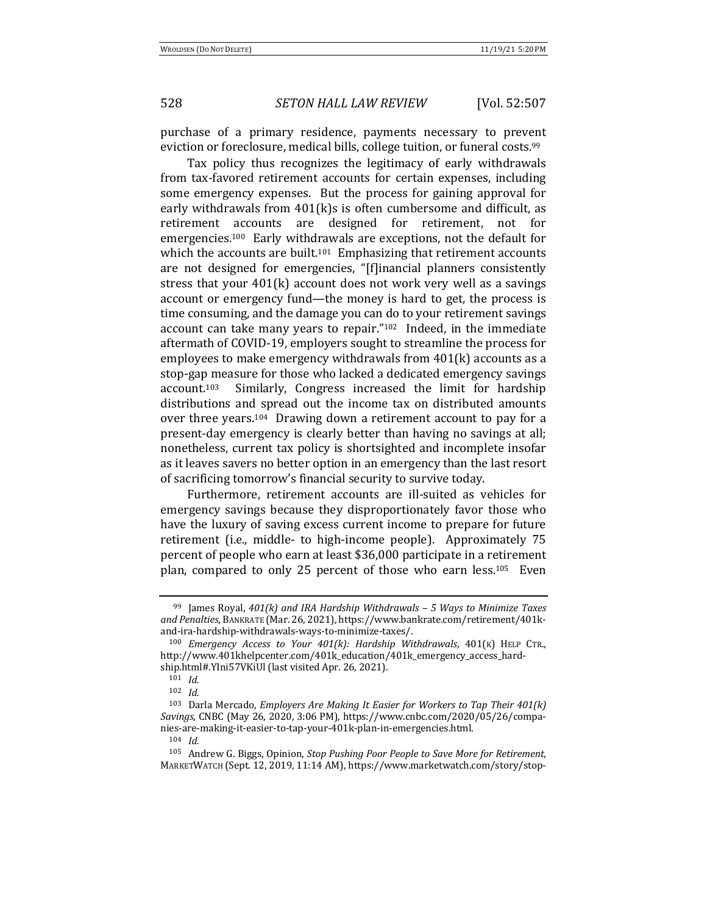purchase of a primary residence, payments necessary to prevent eviction or foreclosure, medical bills, college tuition, or funeral costs.<sup>99</sup>

Tax policy thus recognizes the legitimacy of early withdrawals from tax-favored retirement accounts for certain expenses, including some emergency expenses. But the process for gaining approval for early withdrawals from  $401(k)$ s is often cumbersome and difficult, as retirement accounts are designed for retirement, not for emergencies.<sup>100</sup> Early withdrawals are exceptions, not the default for which the accounts are built.<sup>101</sup> Emphasizing that retirement accounts are not designed for emergencies, "[f]inancial planners consistently stress that your  $401(k)$  account does not work very well as a savings account or emergency fund—the money is hard to get, the process is time consuming, and the damage you can do to your retirement savings account can take many years to repair." $102$  Indeed, in the immediate aftermath of COVID-19, employers sought to streamline the process for employees to make emergency withdrawals from  $401(k)$  accounts as a stop-gap measure for those who lacked a dedicated emergency savings account.<sup>103</sup> Similarly, Congress increased the limit for hardship distributions and spread out the income tax on distributed amounts over three years.<sup>104</sup> Drawing down a retirement account to pay for a present-day emergency is clearly better than having no savings at all; nonetheless, current tax policy is shortsighted and incomplete insofar as it leaves savers no better option in an emergency than the last resort of sacrificing tomorrow's financial security to survive today.

Furthermore, retirement accounts are ill-suited as vehicles for emergency savings because they disproportionately favor those who have the luxury of saving excess current income to prepare for future retirement (i.e., middle- to high-income people). Approximately 75 percent of people who earn at least \$36,000 participate in a retirement plan, compared to only 25 percent of those who earn less.<sup>105</sup> Even

<sup>&</sup>lt;sup>99</sup> James Royal, 401(k) and IRA Hardship Withdrawals - 5 Ways to Minimize Taxes and Penalties, BANKRATE (Mar. 26, 2021), https://www.bankrate.com/retirement/401kand-ira-hardship-withdrawals-ways-to-minimize-taxes/.

<sup>100</sup> *Emergency Access to Your 401(k): Hardship Withdrawals*, 401(K) HELP CTR., http://www.401khelpcenter.com/401k\_education/401k\_emergency\_access\_hardship.html#.YIni57VKiUl (last visited Apr. 26, 2021).

<sup>101</sup> *Id.*

<sup>102</sup> *Id.*

<sup>&</sup>lt;sup>103</sup> Darla Mercado, *Employers Are Making It Easier for Workers to Tap Their 401(k) Savings*, CNBC (May 26, 2020, 3:06 PM), https://www.cnbc.com/2020/05/26/companies-are-making-it-easier-to-tap-your-401k-plan-in-emergencies.html.

<sup>104</sup> *Id.*

<sup>105</sup> Andrew G. Biggs, Opinion, *Stop Pushing Poor People to Save More for Retirement*, MARKETWATCH (Sept. 12, 2019, 11:14 AM), https://www.marketwatch.com/story/stop-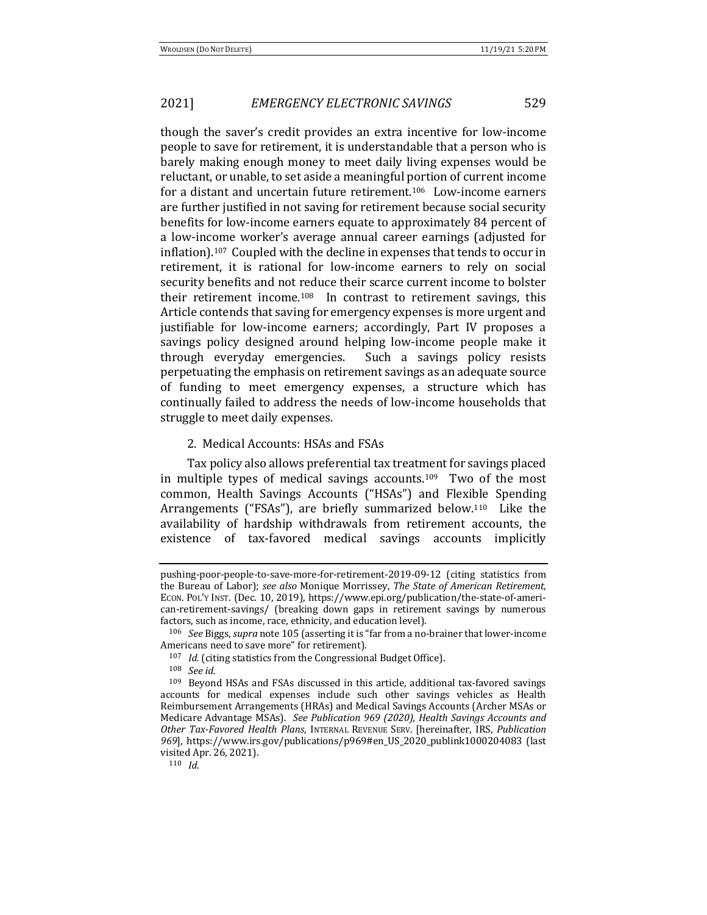though the saver's credit provides an extra incentive for low-income people to save for retirement, it is understandable that a person who is barely making enough money to meet daily living expenses would be reluctant, or unable, to set aside a meaningful portion of current income for a distant and uncertain future retirement.<sup>106</sup> Low-income earners are further justified in not saving for retirement because social security benefits for low-income earners equate to approximately 84 percent of a low-income worker's average annual career earnings (adjusted for inflation).<sup>107</sup> Coupled with the decline in expenses that tends to occur in retirement, it is rational for low-income earners to rely on social security benefits and not reduce their scarce current income to bolster their retirement income.<sup>108</sup> In contrast to retirement savings, this Article contends that saving for emergency expenses is more urgent and justifiable for low-income earners; accordingly, Part IV proposes a savings policy designed around helping low-income people make it through everyday emergencies. Such a savings policy resists perpetuating the emphasis on retirement savings as an adequate source of funding to meet emergency expenses, a structure which has continually failed to address the needs of low-income households that struggle to meet daily expenses.

#### 2. Medical Accounts: HSAs and FSAs

Tax policy also allows preferential tax treatment for savings placed in multiple types of medical savings accounts.<sup>109</sup> Two of the most common, Health Savings Accounts ("HSAs") and Flexible Spending Arrangements ("FSAs"), are briefly summarized below.<sup>110</sup> Like the availability of hardship withdrawals from retirement accounts, the existence of tax-favored medical savings accounts implicitly

<sup>110</sup> *Id*.

pushing-poor-people-to-save-more-for-retirement-2019-09-12 (citing statistics from the Bureau of Labor); see also Monique Morrissey, *The State of American Retirement*, ECON. POL'Y INST. (Dec. 10, 2019), https://www.epi.org/publication/the-state-of-american-retirement-savings/ (breaking down gaps in retirement savings by numerous factors, such as income, race, ethnicity, and education level).

<sup>106</sup> *See* Biggs, *supra* note 105 (asserting it is "far from a no-brainer that lower-income Americans need to save more" for retirement).

<sup>&</sup>lt;sup>107</sup> *Id.* (citing statistics from the Congressional Budget Office).

<sup>108</sup> *See id.*

 $109$  Beyond HSAs and FSAs discussed in this article, additional tax-favored savings accounts for medical expenses include such other savings vehicles as Health Reimbursement Arrangements (HRAs) and Medical Savings Accounts (Archer MSAs or Medicare Advantage MSAs). See Publication 969 (2020), Health Savings Accounts and *Other Tax-Favored Health Plans, INTERNAL REVENUE SERV. [hereinafter, IRS, Publication 969*], https://www.irs.gov/publications/p969#en\_US\_2020\_publink1000204083 (last visited Apr. 26, 2021).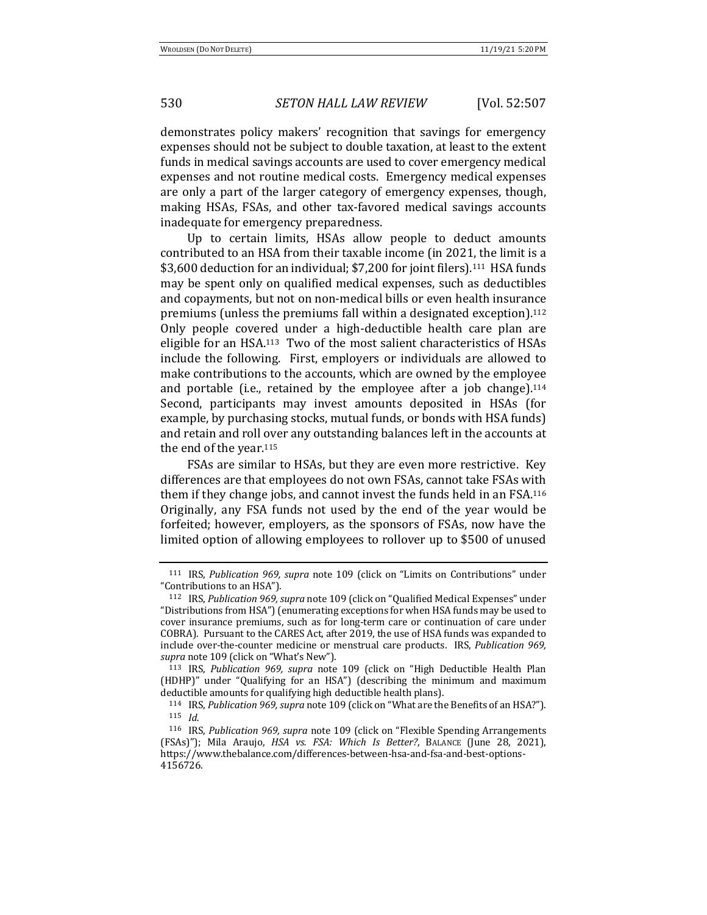demonstrates policy makers' recognition that savings for emergency expenses should not be subject to double taxation, at least to the extent funds in medical savings accounts are used to cover emergency medical expenses and not routine medical costs. Emergency medical expenses are only a part of the larger category of emergency expenses, though, making HSAs, FSAs, and other tax-favored medical savings accounts inadequate for emergency preparedness.

Up to certain limits, HSAs allow people to deduct amounts contributed to an HSA from their taxable income (in 2021, the limit is a \$3,600 deduction for an individual; \$7,200 for joint filers).<sup>111</sup> HSA funds may be spent only on qualified medical expenses, such as deductibles and copayments, but not on non-medical bills or even health insurance premiums (unless the premiums fall within a designated exception).<sup>112</sup> Only people covered under a high-deductible health care plan are eligible for an HSA.<sup>113</sup> Two of the most salient characteristics of HSAs include the following. First, employers or individuals are allowed to make contributions to the accounts, which are owned by the employee and portable (i.e., retained by the employee after a job change).<sup>114</sup> Second, participants may invest amounts deposited in HSAs (for example, by purchasing stocks, mutual funds, or bonds with HSA funds) and retain and roll over any outstanding balances left in the accounts at the end of the year. $115$ 

FSAs are similar to HSAs, but they are even more restrictive. Key differences are that employees do not own FSAs, cannot take FSAs with them if they change jobs, and cannot invest the funds held in an FSA.<sup>116</sup> Originally, any FSA funds not used by the end of the year would be forfeited; however, employers, as the sponsors of FSAs, now have the limited option of allowing employees to rollover up to \$500 of unused

<sup>&</sup>lt;sup>111</sup> IRS, *Publication 969, supra* note 109 (click on "Limits on Contributions" under "Contributions to an HSA").

<sup>&</sup>lt;sup>112</sup> IRS, *Publication 969, supra* note 109 (click on "Qualified Medical Expenses" under "Distributions from HSA") (enumerating exceptions for when HSA funds may be used to cover insurance premiums, such as for long-term care or continuation of care under COBRA). Pursuant to the CARES Act, after 2019, the use of HSA funds was expanded to include over-the-counter medicine or menstrual care products. IRS, *Publication 969*, supra note 109 (click on "What's New").

<sup>&</sup>lt;sup>113</sup> IRS, *Publication 969, supra* note 109 (click on "High Deductible Health Plan (HDHP)" under "Qualifying for an HSA") (describing the minimum and maximum deductible amounts for qualifying high deductible health plans).

<sup>114</sup> IRS, *Publication 969, supra* note 109 (click on "What are the Benefits of an HSA?"). <sup>115</sup> *Id.*

<sup>&</sup>lt;sup>116</sup> IRS, *Publication 969, supra* note 109 (click on "Flexible Spending Arrangements (FSAs)"); Mila Araujo, *HSA vs. FSA: Which Is Better?*, BALANCE (June 28, 2021), https://www.thebalance.com/differences-between-hsa-and-fsa-and-best-options-4156726.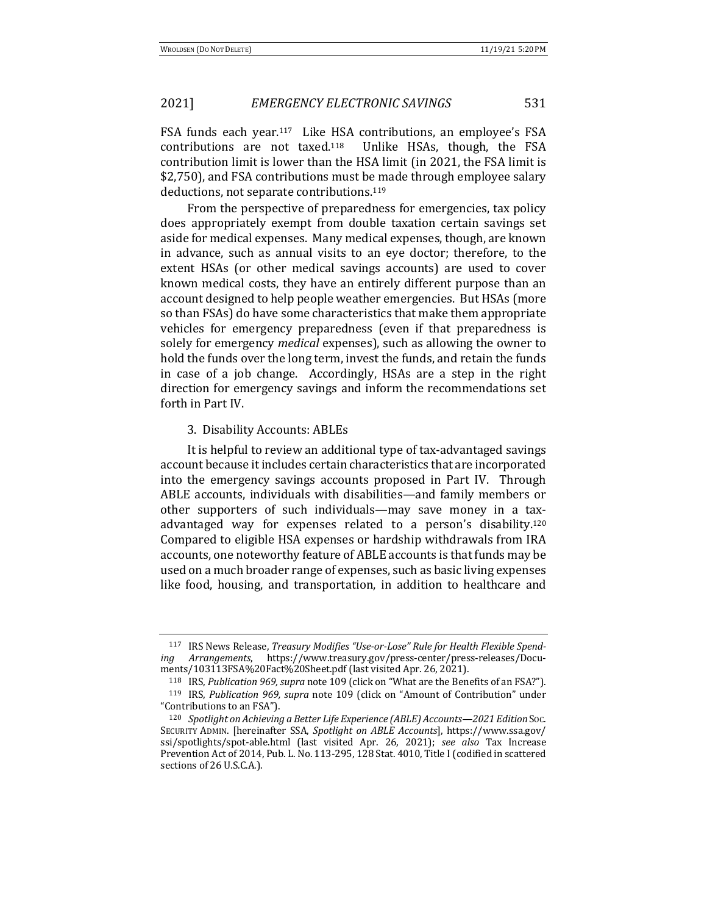FSA funds each year.<sup>117</sup> Like HSA contributions, an employee's FSA contributions are not taxed.<sup>118</sup> Unlike HSAs, though, the FSA contribution limit is lower than the HSA limit (in 2021, the FSA limit is \$2,750), and FSA contributions must be made through employee salary deductions, not separate contributions.<sup>119</sup>

From the perspective of preparedness for emergencies, tax policy does appropriately exempt from double taxation certain savings set aside for medical expenses. Many medical expenses, though, are known in advance, such as annual visits to an eye doctor; therefore, to the extent HSAs (or other medical savings accounts) are used to cover known medical costs, they have an entirely different purpose than an account designed to help people weather emergencies. But HSAs (more so than FSAs) do have some characteristics that make them appropriate vehicles for emergency preparedness (even if that preparedness is solely for emergency *medical* expenses), such as allowing the owner to hold the funds over the long term, invest the funds, and retain the funds in case of a job change. Accordingly, HSAs are a step in the right direction for emergency savings and inform the recommendations set forth in Part IV.

#### 3. Disability Accounts: ABLEs

It is helpful to review an additional type of tax-advantaged savings account because it includes certain characteristics that are incorporated into the emergency savings accounts proposed in Part IV. Through ABLE accounts, individuals with disabilities—and family members or other supporters of such individuals—may save money in a taxadvantaged way for expenses related to a person's disability.<sup>120</sup> Compared to eligible HSA expenses or hardship withdrawals from IRA accounts, one noteworthy feature of ABLE accounts is that funds may be used on a much broader range of expenses, such as basic living expenses like food, housing, and transportation, in addition to healthcare and

<sup>&</sup>lt;sup>117</sup> IRS News Release, *Treasury Modifies "Use-or-Lose" Rule for Health Flexible Spending Arrangements*, https://www.treasury.gov/press-center/press-releases/Documents/103113FSA%20Fact%20Sheet.pdf (last visited Apr. 26, 2021).

<sup>&</sup>lt;sup>118</sup> IRS, *Publication 969, supra* note 109 (click on "What are the Benefits of an FSA?"). <sup>119</sup> IRS, *Publication 969, supra* note 109 (click on "Amount of Contribution" under "Contributions to an FSA").

<sup>120</sup> *Spotlight on Achieving a Better Life Experience (ABLE) Accounts—2021 Edition* Soc. SECURITY ADMIN. [hereinafter SSA, Spotlight on ABLE Accounts], https://www.ssa.gov/ ssi/spotlights/spot-able.html (last visited Apr. 26, 2021); see also Tax Increase Prevention Act of 2014, Pub. L. No. 113-295, 128 Stat. 4010, Title I (codified in scattered sections of 26 U.S.C.A.).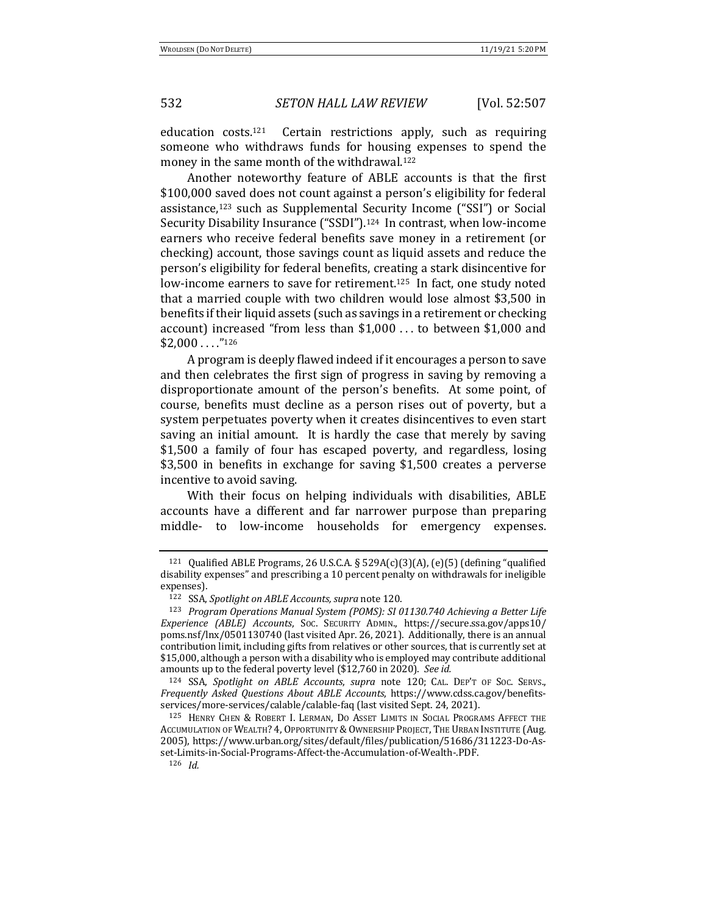education  $costs$ .<sup>121</sup> Certain restrictions apply, such as requiring someone who withdraws funds for housing expenses to spend the money in the same month of the withdrawal.<sup>122</sup>

Another noteworthy feature of ABLE accounts is that the first \$100,000 saved does not count against a person's eligibility for federal assistance,<sup>123</sup> such as Supplemental Security Income ("SSI") or Social Security Disability Insurance ("SSDI").<sup>124</sup> In contrast, when low-income earners who receive federal benefits save money in a retirement (or checking) account, those savings count as liquid assets and reduce the person's eligibility for federal benefits, creating a stark disincentive for low-income earners to save for retirement.<sup>125</sup> In fact, one study noted that a married couple with two children would lose almost \$3,500 in benefits if their liquid assets (such as savings in a retirement or checking account) increased "from less than  $$1,000$  ... to between  $$1,000$  and  $$2,000...$ ."126

A program is deeply flawed indeed if it encourages a person to save and then celebrates the first sign of progress in saving by removing a disproportionate amount of the person's benefits. At some point, of course, benefits must decline as a person rises out of poverty, but a system perpetuates poverty when it creates disincentives to even start saving an initial amount. It is hardly the case that merely by saving \$1,500 a family of four has escaped poverty, and regardless, losing \$3,500 in benefits in exchange for saving \$1,500 creates a perverse incentive to avoid saving.

With their focus on helping individuals with disabilities, ABLE accounts have a different and far narrower purpose than preparing middle- to low-income households for emergency expenses.

<sup>126</sup> *Id.*

<sup>&</sup>lt;sup>121</sup> Qualified ABLE Programs, 26 U.S.C.A. § 529A(c)(3)(A), (e)(5) (defining "qualified disability expenses" and prescribing a 10 percent penalty on withdrawals for ineligible expenses).

<sup>122</sup> SSA, Spotlight on ABLE Accounts, supra note 120.

<sup>&</sup>lt;sup>123</sup> *Program Operations Manual System (POMS): SI 01130.740 Achieving a Better Life Experience (ABLE) Accounts*, SOC. SECURITY ADMIN., https://secure.ssa.gov/apps10/ poms.nsf/lnx/0501130740 (last visited Apr. 26, 2021). Additionally, there is an annual contribution limit, including gifts from relatives or other sources, that is currently set at \$15,000, although a person with a disability who is employed may contribute additional amounts up to the federal poverty level (\$12,760 in 2020). See id.

<sup>124</sup> SSA, *Spotlight on ABLE Accounts*, *supra* note 120; CAL. DEP'T OF Soc. SERVS., *Frequently Asked Questions About ABLE Accounts*, https://www.cdss.ca.gov/benefitsservices/more-services/calable/calable-faq (last visited Sept. 24, 2021).

<sup>125</sup> HENRY CHEN & ROBERT I. LERMAN, DO ASSET LIMITS IN SOCIAL PROGRAMS AFFECT THE ACCUMULATION OF WEALTH? 4, OPPORTUNITY & OWNERSHIP PROJECT, THE URBAN INSTITUTE (Aug. 2005), https://www.urban.org/sites/default/files/publication/51686/311223-Do-Asset-Limits-in-Social-Programs-Affect-the-Accumulation-of-Wealth-.PDF.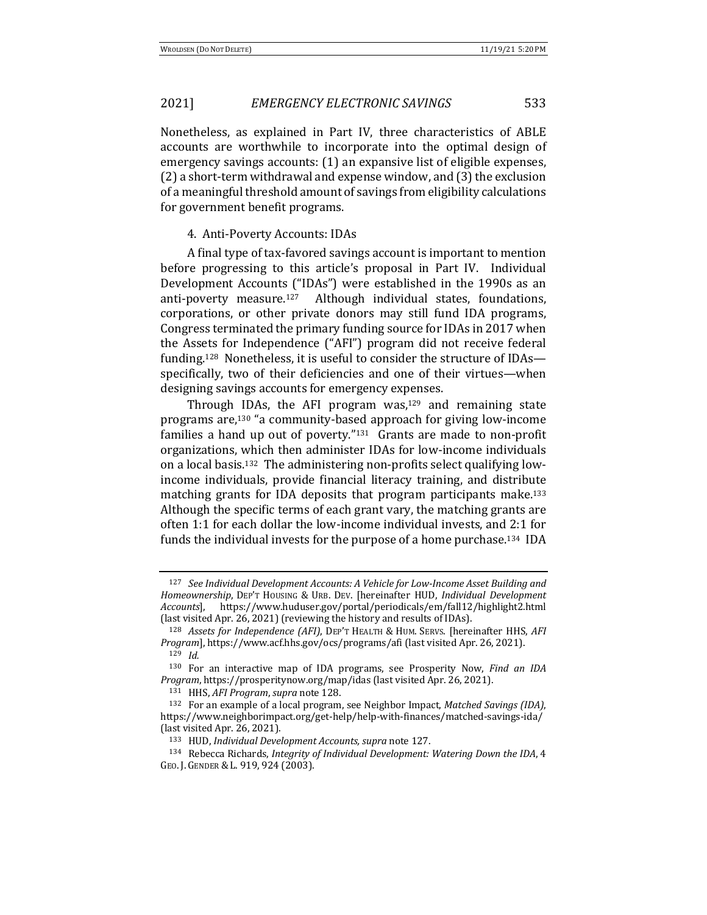Nonetheless, as explained in Part IV, three characteristics of ABLE accounts are worthwhile to incorporate into the optimal design of emergency savings accounts: (1) an expansive list of eligible expenses,  $(2)$  a short-term withdrawal and expense window, and  $(3)$  the exclusion of a meaningful threshold amount of savings from eligibility calculations for government benefit programs.

#### 4. Anti-Poverty Accounts: IDAs

A final type of tax-favored savings account is important to mention before progressing to this article's proposal in Part IV. Individual Development Accounts ("IDAs") were established in the 1990s as an anti-poverty measure.<sup>127</sup> Although individual states, foundations, corporations, or other private donors may still fund IDA programs, Congress terminated the primary funding source for IDAs in 2017 when the Assets for Independence ("AFI") program did not receive federal funding.<sup>128</sup> Nonetheless, it is useful to consider the structure of IDAs specifically, two of their deficiencies and one of their virtues—when designing savings accounts for emergency expenses.

Through IDAs, the AFI program was, $129$  and remaining state programs are,<sup>130</sup> "a community-based approach for giving low-income families a hand up out of poverty." $131$  Grants are made to non-profit organizations, which then administer IDAs for low-income individuals on a local basis.<sup>132</sup> The administering non-profits select qualifying lowincome individuals, provide financial literacy training, and distribute matching grants for IDA deposits that program participants make.<sup>133</sup> Although the specific terms of each grant vary, the matching grants are often 1:1 for each dollar the low-income individual invests, and 2:1 for funds the individual invests for the purpose of a home purchase.<sup>134</sup> IDA

<sup>&</sup>lt;sup>127</sup> See Individual Development Accounts: A Vehicle for Low-Income Asset Building and *Homeownership*, DEP'T HOUSING & URB. DEV. [hereinafter HUD, *Individual Development Accounts*], https://www.huduser.gov/portal/periodicals/em/fall12/highlight2.html (last visited Apr. 26, 2021) (reviewing the history and results of IDAs).

<sup>128</sup> *Assets for Independence (AFI)*, DEP'T HEALTH & HUM. SERVS. [hereinafter HHS, AFI *Program*], https://www.acf.hhs.gov/ocs/programs/afi (last visited Apr. 26, 2021).

<sup>129</sup> *Id.*

<sup>&</sup>lt;sup>130</sup> For an interactive map of IDA programs, see Prosperity Now, *Find an IDA Program*, https://prosperitynow.org/map/idas (last visited Apr. 26, 2021).

<sup>131</sup> HHS, AFI Program, *supra* note 128.

<sup>132</sup> For an example of a local program, see Neighbor Impact, *Matched Savings (IDA)*, https://www.neighborimpact.org/get-help/help-with-finances/matched-savings-ida/ (last visited Apr. 26, 2021).

<sup>133</sup> HUD, *Individual Development Accounts, supra* note 127.

<sup>134</sup> Rebecca Richards, *Integrity of Individual Development: Watering Down the IDA*, 4 GEO. J. GENDER & L. 919, 924 (2003).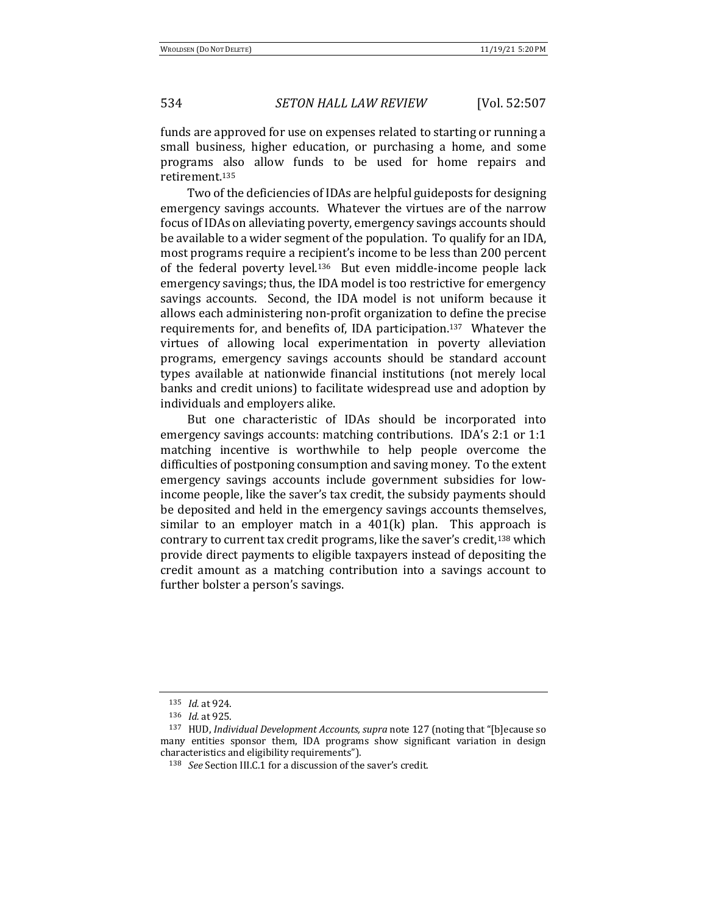funds are approved for use on expenses related to starting or running a small business, higher education, or purchasing a home, and some programs also allow funds to be used for home repairs and retirement.135

Two of the deficiencies of IDAs are helpful guideposts for designing emergency savings accounts. Whatever the virtues are of the narrow focus of IDAs on alleviating poverty, emergency savings accounts should be available to a wider segment of the population. To qualify for an IDA, most programs require a recipient's income to be less than 200 percent of the federal poverty level.<sup>136</sup> But even middle-income people lack emergency savings; thus, the IDA model is too restrictive for emergency savings accounts. Second, the IDA model is not uniform because it allows each administering non-profit organization to define the precise requirements for, and benefits of, IDA participation.<sup>137</sup> Whatever the virtues of allowing local experimentation in poverty alleviation programs, emergency savings accounts should be standard account types available at nationwide financial institutions (not merely local banks and credit unions) to facilitate widespread use and adoption by individuals and employers alike.

But one characteristic of IDAs should be incorporated into emergency savings accounts: matching contributions. IDA's  $2:1$  or  $1:1$ matching incentive is worthwhile to help people overcome the difficulties of postponing consumption and saving money. To the extent emergency savings accounts include government subsidies for lowincome people, like the saver's tax credit, the subsidy payments should be deposited and held in the emergency savings accounts themselves, similar to an employer match in a  $401(k)$  plan. This approach is contrary to current tax credit programs, like the saver's credit,<sup>138</sup> which provide direct payments to eligible taxpayers instead of depositing the credit amount as a matching contribution into a savings account to further bolster a person's savings.

<sup>135</sup> *Id.* at 924.

<sup>136</sup> *Id.* at 925.

<sup>&</sup>lt;sup>137</sup> HUD, *Individual Development Accounts, supra* note 127 (noting that "[b]ecause so many entities sponsor them, IDA programs show significant variation in design characteristics and eligibility requirements").

<sup>138</sup> *See* Section III.C.1 for a discussion of the saver's credit.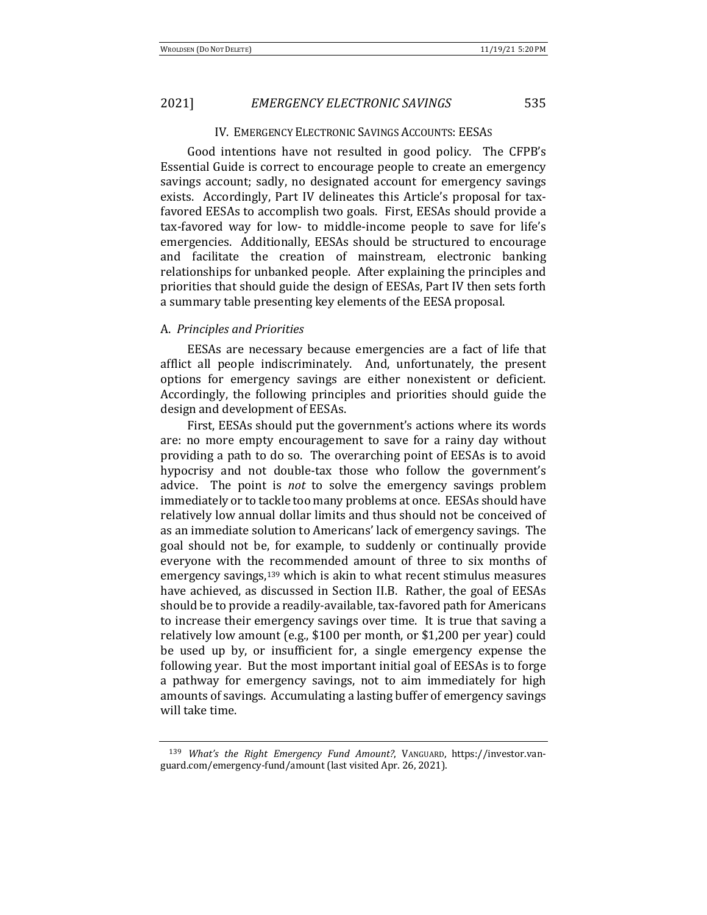#### IV. EMERGENCY ELECTRONIC SAVINGS ACCOUNTS: EESAS

Good intentions have not resulted in good policy. The CFPB's Essential Guide is correct to encourage people to create an emergency savings account; sadly, no designated account for emergency savings exists. Accordingly, Part IV delineates this Article's proposal for taxfavored EESAs to accomplish two goals. First, EESAs should provide a tax-favored way for low- to middle-income people to save for life's emergencies. Additionally, EESAs should be structured to encourage and facilitate the creation of mainstream, electronic banking relationships for unbanked people. After explaining the principles and priorities that should guide the design of EESAs, Part IV then sets forth a summary table presenting key elements of the EESA proposal.

#### A. *Principles and Priorities*

EESAs are necessary because emergencies are a fact of life that afflict all people indiscriminately. And, unfortunately, the present options for emergency savings are either nonexistent or deficient. Accordingly, the following principles and priorities should guide the design and development of EESAs.

First, EESAs should put the government's actions where its words are: no more empty encouragement to save for a rainy day without providing a path to do so. The overarching point of EESAs is to avoid hypocrisy and not double-tax those who follow the government's advice. The point is *not* to solve the emergency savings problem immediately or to tackle too many problems at once. EESAs should have relatively low annual dollar limits and thus should not be conceived of as an immediate solution to Americans' lack of emergency savings. The goal should not be, for example, to suddenly or continually provide everyone with the recommended amount of three to six months of emergency savings, $139$  which is akin to what recent stimulus measures have achieved, as discussed in Section II.B. Rather, the goal of EESAs should be to provide a readily-available, tax-favored path for Americans to increase their emergency savings over time. It is true that saving a relatively low amount (e.g., \$100 per month, or \$1,200 per year) could be used up by, or insufficient for, a single emergency expense the following year. But the most important initial goal of EESAs is to forge a pathway for emergency savings, not to aim immediately for high amounts of savings. Accumulating a lasting buffer of emergency savings will take time.

<sup>139</sup> What's the Right Emergency Fund Amount?, VANGUARD, https://investor.vanguard.com/emergency-fund/amount (last visited Apr. 26, 2021).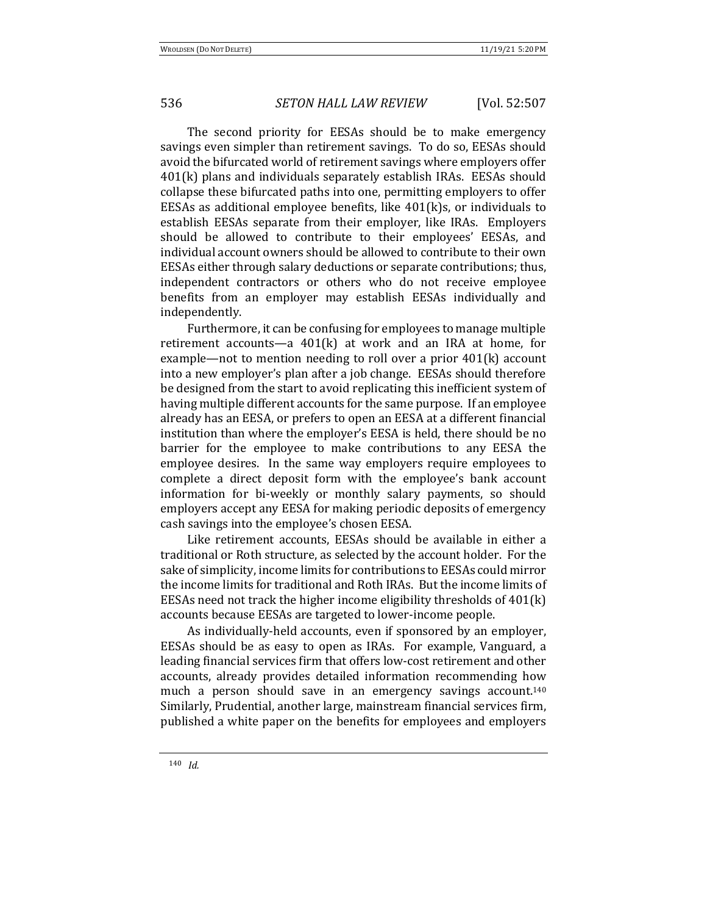The second priority for EESAs should be to make emergency savings even simpler than retirement savings. To do so, EESAs should avoid the bifurcated world of retirement savings where employers offer  $401(k)$  plans and individuals separately establish IRAs. EESAs should collapse these bifurcated paths into one, permitting employers to offer EESAs as additional employee benefits, like  $401(k)s$ , or individuals to establish EESAs separate from their employer, like IRAs. Employers should be allowed to contribute to their employees' EESAs, and individual account owners should be allowed to contribute to their own EESAs either through salary deductions or separate contributions; thus, independent contractors or others who do not receive employee benefits from an employer may establish EESAs individually and independently.

Furthermore, it can be confusing for employees to manage multiple retirement accounts—a  $401(k)$  at work and an IRA at home, for example—not to mention needing to roll over a prior  $401(k)$  account into a new employer's plan after a job change. EESAs should therefore be designed from the start to avoid replicating this inefficient system of having multiple different accounts for the same purpose. If an employee already has an EESA, or prefers to open an EESA at a different financial institution than where the employer's EESA is held, there should be no barrier for the employee to make contributions to any EESA the employee desires. In the same way employers require employees to complete a direct deposit form with the employee's bank account information for bi-weekly or monthly salary payments, so should employers accept any EESA for making periodic deposits of emergency cash savings into the employee's chosen EESA.

Like retirement accounts, EESAs should be available in either a traditional or Roth structure, as selected by the account holder. For the sake of simplicity, income limits for contributions to EESAs could mirror the income limits for traditional and Roth IRAs. But the income limits of EESAs need not track the higher income eligibility thresholds of  $401(k)$ accounts because EESAs are targeted to lower-income people.

As individually-held accounts, even if sponsored by an employer, EESAs should be as easy to open as IRAs. For example, Vanguard, a leading financial services firm that offers low-cost retirement and other accounts, already provides detailed information recommending how much a person should save in an emergency savings account.<sup>140</sup> Similarly, Prudential, another large, mainstream financial services firm, published a white paper on the benefits for employees and employers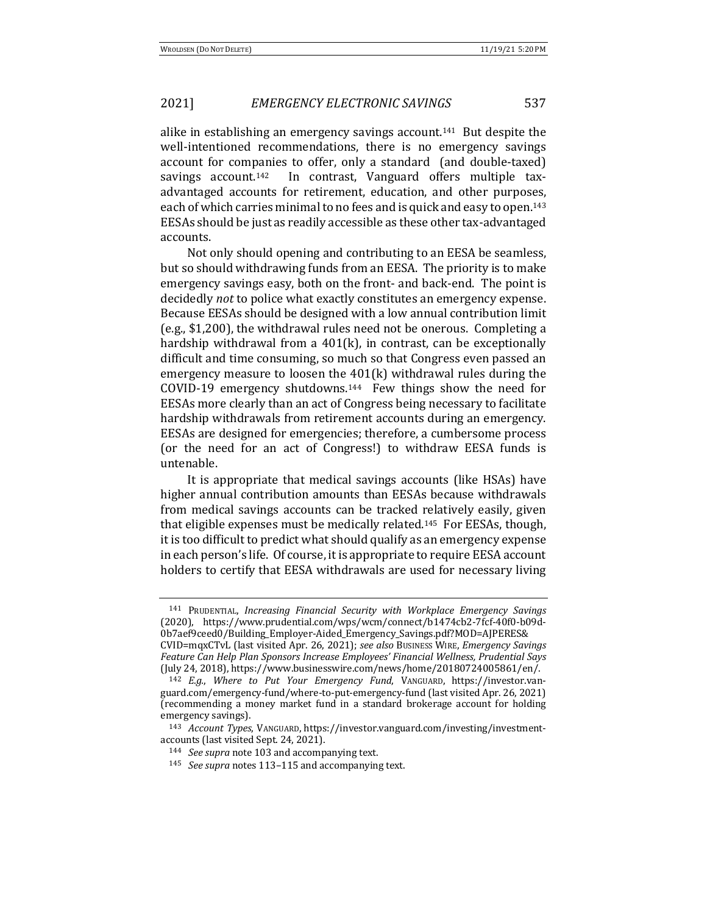alike in establishing an emergency savings account.<sup>141</sup> But despite the well-intentioned recommendations, there is no emergency savings account for companies to offer, only a standard (and double-taxed) savings account.<sup>142</sup> In contrast, Vanguard offers multiple taxadvantaged accounts for retirement, education, and other purposes, each of which carries minimal to no fees and is quick and easy to open.<sup>143</sup> EESAs should be just as readily accessible as these other tax-advantaged accounts.

Not only should opening and contributing to an EESA be seamless, but so should withdrawing funds from an EESA. The priority is to make emergency savings easy, both on the front- and back-end. The point is decidedly *not* to police what exactly constitutes an emergency expense. Because EESAs should be designed with a low annual contribution limit (e.g.,  $$1,200$ ), the withdrawal rules need not be onerous. Completing a hardship withdrawal from a  $401(k)$ , in contrast, can be exceptionally difficult and time consuming, so much so that Congress even passed an emergency measure to loosen the  $401(k)$  withdrawal rules during the COVID-19 emergency shutdowns.<sup>144</sup> Few things show the need for EESAs more clearly than an act of Congress being necessary to facilitate hardship withdrawals from retirement accounts during an emergency. EESAs are designed for emergencies; therefore, a cumbersome process (or the need for an act of Congress!) to withdraw EESA funds is untenable.

It is appropriate that medical savings accounts (like HSAs) have higher annual contribution amounts than EESAs because withdrawals from medical savings accounts can be tracked relatively easily, given that eligible expenses must be medically related.<sup>145</sup> For EESAs, though, it is too difficult to predict what should qualify as an emergency expense in each person's life. Of course, it is appropriate to require EESA account holders to certify that EESA withdrawals are used for necessary living

<sup>141</sup> PRUDENTIAL, *Increasing Financial Security with Workplace Emergency Savings* (2020), https://www.prudential.com/wps/wcm/connect/b1474cb2-7fcf-40f0-b09d-0b7aef9ceed0/Building\_Employer-Aided\_Emergency\_Savings.pdf?MOD=AJPERES& CVID=mqxCTvL (last visited Apr. 26, 2021); see also Business Wire, *Emergency Savings* 

*Feature Can Help Plan Sponsors Increase Employees' Financial Wellness, Prudential Says* (July 24, 2018), https://www.businesswire.com/news/home/20180724005861/en/. <sup>142</sup> *E.g.*, *Where to Put Your Emergency Fund*, VANGUARD, https://investor.van-

guard.com/emergency-fund/where-to-put-emergency-fund (last visited Apr. 26, 2021) (recommending a money market fund in a standard brokerage account for holding emergency savings).

<sup>&</sup>lt;sup>143</sup> *Account Types*, VANGUARD, https://investor.vanguard.com/investing/investmentaccounts (last visited Sept. 24, 2021).

<sup>&</sup>lt;sup>144</sup> *See supra* note 103 and accompanying text.

<sup>145</sup> *See supra* notes 113–115 and accompanying text.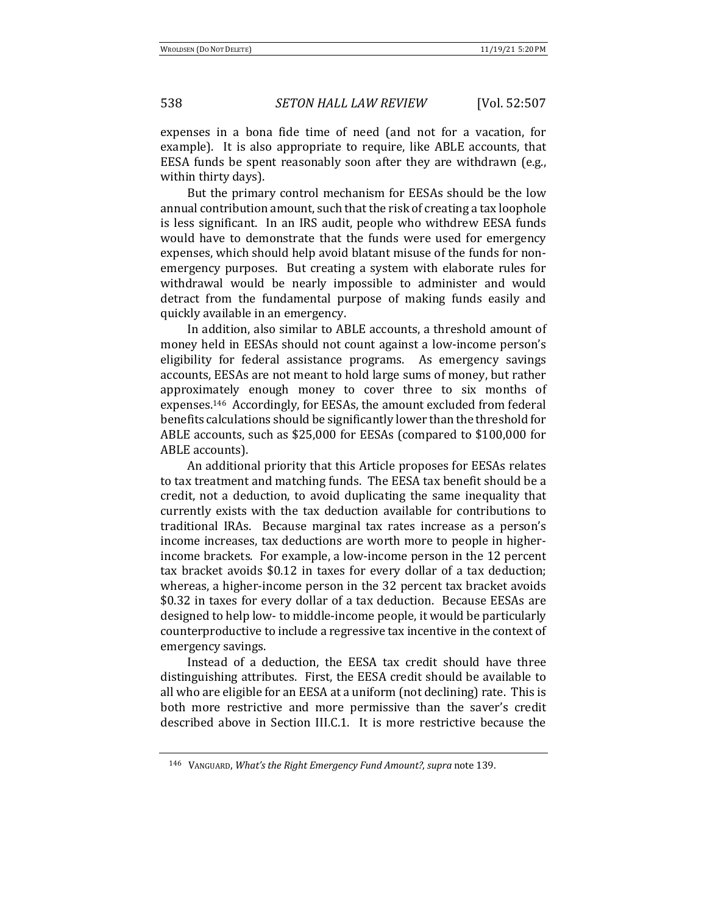expenses in a bona fide time of need (and not for a vacation, for example). It is also appropriate to require, like ABLE accounts, that EESA funds be spent reasonably soon after they are withdrawn (e.g., within thirty days).

But the primary control mechanism for EESAs should be the low annual contribution amount, such that the risk of creating a tax loophole is less significant. In an IRS audit, people who withdrew EESA funds would have to demonstrate that the funds were used for emergency expenses, which should help avoid blatant misuse of the funds for nonemergency purposes. But creating a system with elaborate rules for withdrawal would be nearly impossible to administer and would detract from the fundamental purpose of making funds easily and quickly available in an emergency.

In addition, also similar to ABLE accounts, a threshold amount of money held in EESAs should not count against a low-income person's eligibility for federal assistance programs. As emergency savings accounts, EESAs are not meant to hold large sums of money, but rather approximately enough money to cover three to six months of expenses.<sup>146</sup> Accordingly, for EESAs, the amount excluded from federal benefits calculations should be significantly lower than the threshold for ABLE accounts, such as \$25,000 for EESAs (compared to \$100,000 for ABLE accounts).

An additional priority that this Article proposes for EESAs relates to tax treatment and matching funds. The EESA tax benefit should be a credit, not a deduction, to avoid duplicating the same inequality that currently exists with the tax deduction available for contributions to traditional IRAs. Because marginal tax rates increase as a person's income increases, tax deductions are worth more to people in higherincome brackets. For example, a low-income person in the 12 percent tax bracket avoids \$0.12 in taxes for every dollar of a tax deduction; whereas, a higher-income person in the 32 percent tax bracket avoids \$0.32 in taxes for every dollar of a tax deduction. Because EESAs are designed to help low- to middle-income people, it would be particularly counterproductive to include a regressive tax incentive in the context of emergency savings.

Instead of a deduction, the EESA tax credit should have three distinguishing attributes. First, the EESA credit should be available to all who are eligible for an EESA at a uniform (not declining) rate. This is both more restrictive and more permissive than the saver's credit described above in Section III.C.1. It is more restrictive because the

<sup>146</sup> VANGUARD, *What's the Right Emergency Fund Amount?*, *supra* note 139.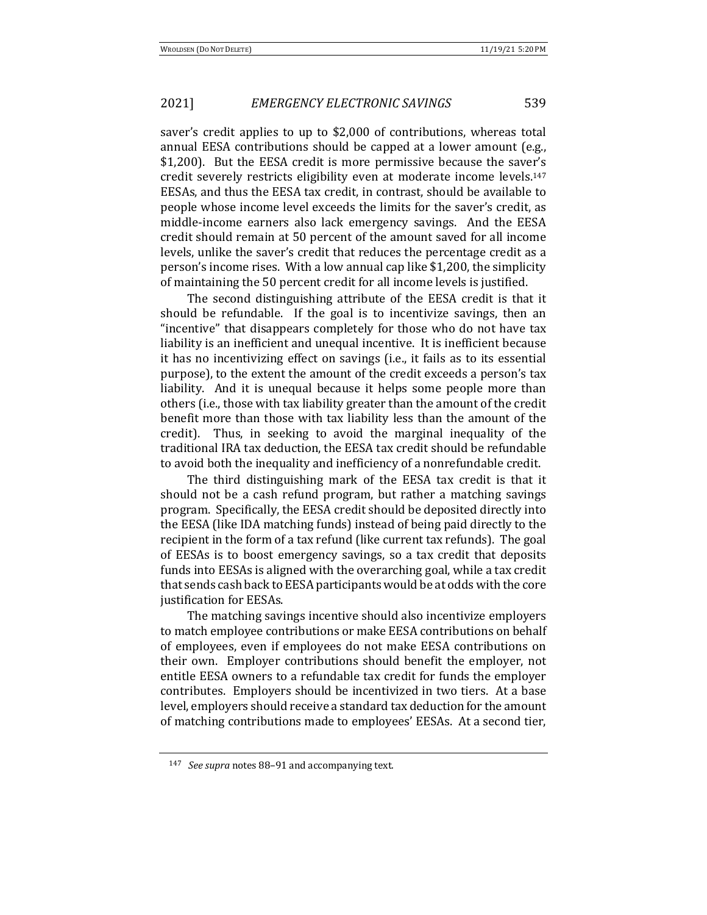saver's credit applies to up to \$2,000 of contributions, whereas total annual EESA contributions should be capped at a lower amount (e.g., \$1,200). But the EESA credit is more permissive because the saver's credit severely restricts eligibility even at moderate income levels.<sup>147</sup> EESAs, and thus the EESA tax credit, in contrast, should be available to people whose income level exceeds the limits for the saver's credit, as middle-income earners also lack emergency savings. And the EESA credit should remain at 50 percent of the amount saved for all income levels, unlike the saver's credit that reduces the percentage credit as a person's income rises. With a low annual cap like \$1,200, the simplicity of maintaining the 50 percent credit for all income levels is justified.

The second distinguishing attribute of the EESA credit is that it should be refundable. If the goal is to incentivize savings, then an "incentive" that disappears completely for those who do not have tax liability is an inefficient and unequal incentive. It is inefficient because it has no incentivizing effect on savings (i.e., it fails as to its essential purpose), to the extent the amount of the credit exceeds a person's tax liability. And it is unequal because it helps some people more than others (i.e., those with tax liability greater than the amount of the credit benefit more than those with tax liability less than the amount of the credit). Thus, in seeking to avoid the marginal inequality of the traditional IRA tax deduction, the EESA tax credit should be refundable to avoid both the inequality and inefficiency of a nonrefundable credit.

The third distinguishing mark of the EESA tax credit is that it should not be a cash refund program, but rather a matching savings program. Specifically, the EESA credit should be deposited directly into the EESA (like IDA matching funds) instead of being paid directly to the recipient in the form of a tax refund (like current tax refunds). The goal of EESAs is to boost emergency savings, so a tax credit that deposits funds into EESAs is aligned with the overarching goal, while a tax credit that sends cash back to EESA participants would be at odds with the core justification for EESAs.

The matching savings incentive should also incentivize employers to match employee contributions or make EESA contributions on behalf of employees, even if employees do not make EESA contributions on their own. Employer contributions should benefit the employer, not entitle EESA owners to a refundable tax credit for funds the employer contributes. Employers should be incentivized in two tiers. At a base level, employers should receive a standard tax deduction for the amount of matching contributions made to employees' EESAs. At a second tier,

<sup>147</sup> *See supra* notes 88–91 and accompanying text.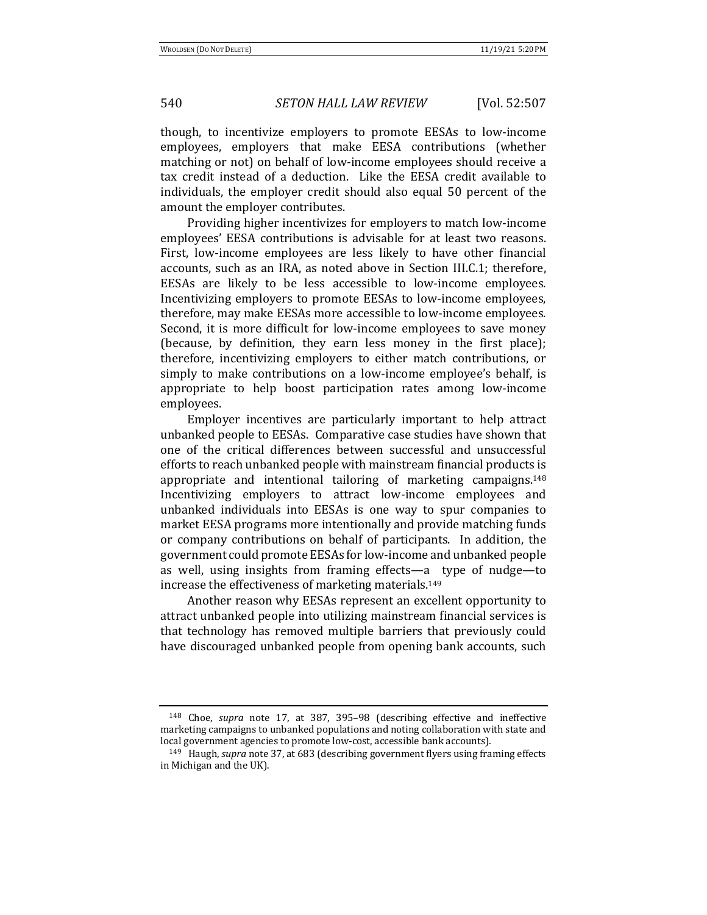though, to incentivize employers to promote EESAs to low-income employees, employers that make EESA contributions (whether matching or not) on behalf of low-income employees should receive a tax credit instead of a deduction. Like the EESA credit available to individuals, the employer credit should also equal 50 percent of the amount the employer contributes.

Providing higher incentivizes for employers to match low-income employees' EESA contributions is advisable for at least two reasons. First, low-income employees are less likely to have other financial accounts, such as an IRA, as noted above in Section III.C.1; therefore, EESAs are likely to be less accessible to low-income employees. Incentivizing employers to promote EESAs to low-income employees, therefore, may make EESAs more accessible to low-income employees. Second, it is more difficult for low-income employees to save money (because, by definition, they earn less money in the first place); therefore, incentivizing employers to either match contributions, or simply to make contributions on a low-income employee's behalf, is appropriate to help boost participation rates among low-income employees.

Employer incentives are particularly important to help attract unbanked people to EESAs. Comparative case studies have shown that one of the critical differences between successful and unsuccessful efforts to reach unbanked people with mainstream financial products is appropriate and intentional tailoring of marketing campaigns.<sup>148</sup> Incentivizing employers to attract low-income employees and unbanked individuals into EESAs is one way to spur companies to market EESA programs more intentionally and provide matching funds or company contributions on behalf of participants. In addition, the government could promote EESAs for low-income and unbanked people as well, using insights from framing effects—a type of nudge—to increase the effectiveness of marketing materials.<sup>149</sup>

Another reason why EESAs represent an excellent opportunity to attract unbanked people into utilizing mainstream financial services is that technology has removed multiple barriers that previously could have discouraged unbanked people from opening bank accounts, such

<sup>&</sup>lt;sup>148</sup> Choe, *supra* note 17, at 387, 395–98 (describing effective and ineffective marketing campaigns to unbanked populations and noting collaboration with state and local government agencies to promote low-cost, accessible bank accounts).

<sup>&</sup>lt;sup>149</sup> Haugh, *supra* note 37, at 683 (describing government flyers using framing effects in Michigan and the UK).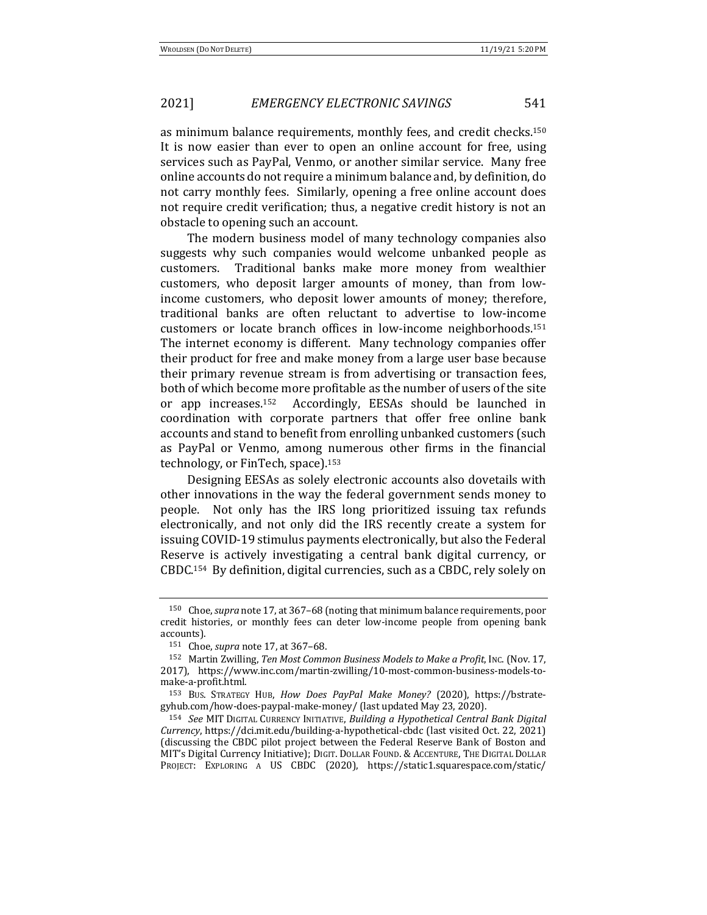as minimum balance requirements, monthly fees, and credit checks.<sup>150</sup> It is now easier than ever to open an online account for free, using services such as PayPal, Venmo, or another similar service. Many free online accounts do not require a minimum balance and, by definition, do not carry monthly fees. Similarly, opening a free online account does not require credit verification; thus, a negative credit history is not an obstacle to opening such an account.

The modern business model of many technology companies also suggests why such companies would welcome unbanked people as customers. Traditional banks make more money from wealthier customers, who deposit larger amounts of money, than from lowincome customers, who deposit lower amounts of money; therefore, traditional banks are often reluctant to advertise to low-income customers or locate branch offices in low-income neighborhoods.<sup>151</sup> The internet economy is different. Many technology companies offer their product for free and make money from a large user base because their primary revenue stream is from advertising or transaction fees, both of which become more profitable as the number of users of the site or app increases.<sup>152</sup> Accordingly, EESAs should be launched in coordination with corporate partners that offer free online bank accounts and stand to benefit from enrolling unbanked customers (such as PayPal or Venmo, among numerous other firms in the financial technology, or FinTech, space).<sup>153</sup>

Designing EESAs as solely electronic accounts also dovetails with other innovations in the way the federal government sends money to people. Not only has the IRS long prioritized issuing tax refunds electronically, and not only did the IRS recently create a system for issuing COVID-19 stimulus payments electronically, but also the Federal Reserve is actively investigating a central bank digital currency, or CBDC.<sup>154</sup> By definition, digital currencies, such as a CBDC, rely solely on

<sup>&</sup>lt;sup>150</sup> Choe, *supra* note 17, at 367–68 (noting that minimum balance requirements, poor credit histories, or monthly fees can deter low-income people from opening bank accounts).

<sup>151</sup> Choe, *supra* note 17, at 367-68.

<sup>152</sup> Martin Zwilling, Ten Most Common Business Models to Make a Profit, Inc. (Nov. 17, 2017), https://www.inc.com/martin-zwilling/10-most-common-business-models-tomake-a-profit.html.

<sup>153</sup> BUS. STRATEGY HUB, *How Does PayPal Make Money?* (2020), https://bstrategyhub.com/how-does-paypal-make-money/ (last updated May 23, 2020).

<sup>154</sup> *See* MIT DIGITAL CURRENCY INITIATIVE, Building a Hypothetical Central Bank Digital *Currency*, https://dci.mit.edu/building-a-hypothetical-cbdc (last visited Oct. 22, 2021) (discussing the CBDC pilot project between the Federal Reserve Bank of Boston and MIT's Digital Currency Initiative); DIGIT. DOLLAR FOUND. & ACCENTURE, THE DIGITAL DOLLAR PROJECT: EXPLORING A US CBDC (2020), https://static1.squarespace.com/static/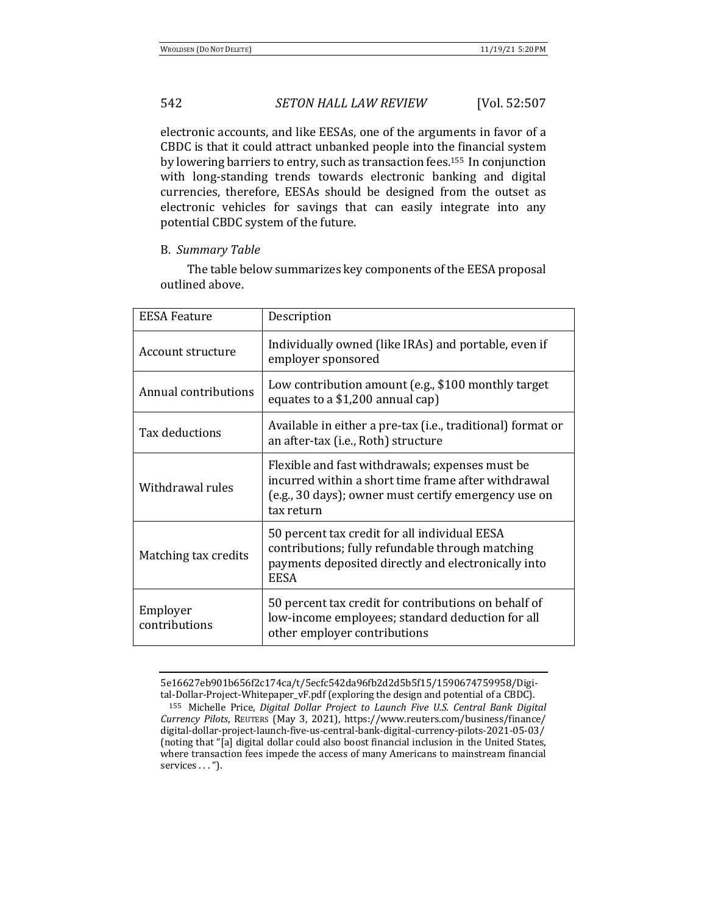electronic accounts, and like EESAs, one of the arguments in favor of a CBDC is that it could attract unbanked people into the financial system by lowering barriers to entry, such as transaction fees.<sup>155</sup> In conjunction with long-standing trends towards electronic banking and digital currencies, therefore, EESAs should be designed from the outset as electronic vehicles for savings that can easily integrate into any potential CBDC system of the future.

### B. *Summary Table*

The table below summarizes key components of the EESA proposal outlined above.

| <b>EESA Feature</b>       | Description                                                                                                                                                                  |
|---------------------------|------------------------------------------------------------------------------------------------------------------------------------------------------------------------------|
| Account structure         | Individually owned (like IRAs) and portable, even if<br>employer sponsored                                                                                                   |
| Annual contributions      | Low contribution amount (e.g., \$100 monthly target<br>equates to a \$1,200 annual cap)                                                                                      |
| Tax deductions            | Available in either a pre-tax (i.e., traditional) format or<br>an after-tax (i.e., Roth) structure                                                                           |
| Withdrawal rules          | Flexible and fast withdrawals; expenses must be<br>incurred within a short time frame after withdrawal<br>(e.g., 30 days); owner must certify emergency use on<br>tax return |
| Matching tax credits      | 50 percent tax credit for all individual EESA<br>contributions; fully refundable through matching<br>payments deposited directly and electronically into<br><b>EESA</b>      |
| Employer<br>contributions | 50 percent tax credit for contributions on behalf of<br>low-income employees; standard deduction for all<br>other employer contributions                                     |

<sup>5</sup>e16627eb901b656f2c174ca/t/5ecfc542da96fb2d2d5b5f15/1590674759958/Digital-Dollar-Project-Whitepaper\_vF.pdf (exploring the design and potential of a CBDC).

<sup>&</sup>lt;sup>155</sup> Michelle Price, *Digital Dollar Project to Launch Five U.S. Central Bank Digital Currency Pilots*, REUTERS (May 3, 2021), https://www.reuters.com/business/finance/ digital-dollar-project-launch-five-us-central-bank-digital-currency-pilots-2021-05-03/ (noting that "[a] digital dollar could also boost financial inclusion in the United States, where transaction fees impede the access of many Americans to mainstream financial services . . . ").